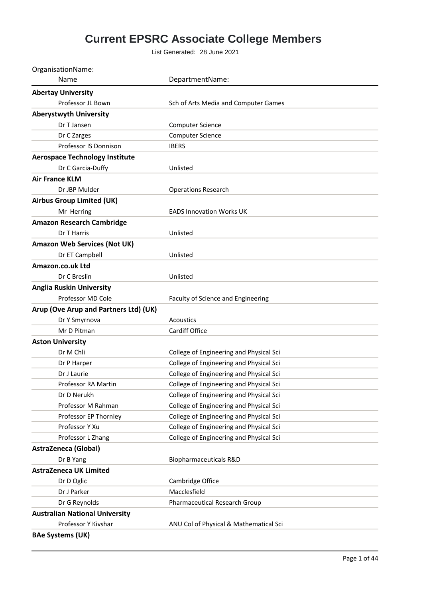## **Current EPSRC Associate College Members**

List Generated: 28 June 2021

| OrganisationName:                     |                                         |
|---------------------------------------|-----------------------------------------|
| Name                                  | DepartmentName:                         |
| <b>Abertay University</b>             |                                         |
| Professor JL Bown                     | Sch of Arts Media and Computer Games    |
| <b>Aberystwyth University</b>         |                                         |
| Dr T Jansen                           | <b>Computer Science</b>                 |
| Dr C Zarges                           | <b>Computer Science</b>                 |
| Professor IS Donnison                 | <b>IBERS</b>                            |
| <b>Aerospace Technology Institute</b> |                                         |
| Dr C Garcia-Duffy                     | Unlisted                                |
| <b>Air France KLM</b>                 |                                         |
| Dr JBP Mulder                         | <b>Operations Research</b>              |
| <b>Airbus Group Limited (UK)</b>      |                                         |
| Mr Herring                            | <b>EADS Innovation Works UK</b>         |
| <b>Amazon Research Cambridge</b>      |                                         |
| Dr T Harris                           | Unlisted                                |
| <b>Amazon Web Services (Not UK)</b>   |                                         |
| Dr ET Campbell                        | Unlisted                                |
| Amazon.co.uk Ltd                      |                                         |
| Dr C Breslin                          | Unlisted                                |
| <b>Anglia Ruskin University</b>       |                                         |
| Professor MD Cole                     | Faculty of Science and Engineering      |
| Arup (Ove Arup and Partners Ltd) (UK) |                                         |
| Dr Y Smyrnova                         | Acoustics                               |
| Mr D Pitman                           | Cardiff Office                          |
| <b>Aston University</b>               |                                         |
| Dr M Chli                             | College of Engineering and Physical Sci |
| Dr P Harper                           | College of Engineering and Physical Sci |
| Dr J Laurie                           | College of Engineering and Physical Sci |
| Professor RA Martin                   | College of Engineering and Physical Sci |
| Dr D Nerukh                           | College of Engineering and Physical Sci |
| Professor M Rahman                    | College of Engineering and Physical Sci |
| Professor EP Thornley                 | College of Engineering and Physical Sci |
| Professor Y Xu                        | College of Engineering and Physical Sci |
| Professor L Zhang                     | College of Engineering and Physical Sci |
| <b>AstraZeneca (Global)</b>           |                                         |
| Dr B Yang                             | Biopharmaceuticals R&D                  |
| <b>AstraZeneca UK Limited</b>         |                                         |
| Dr D Oglic                            | Cambridge Office                        |
| Dr J Parker                           | Macclesfield                            |
| Dr G Reynolds                         | Pharmaceutical Research Group           |
| <b>Australian National University</b> |                                         |
| Professor Y Kivshar                   | ANU Col of Physical & Mathematical Sci  |
| <b>BAe Systems (UK)</b>               |                                         |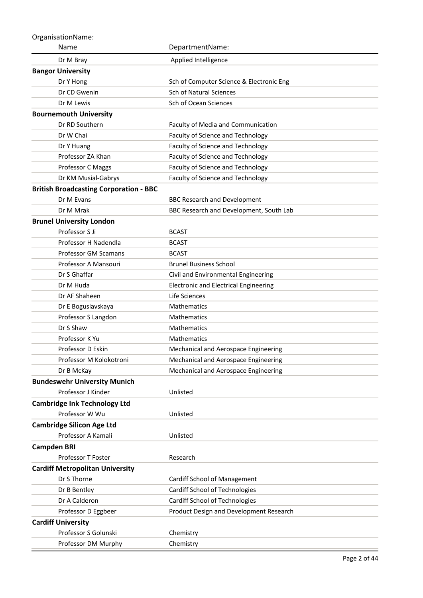| OrganisationName:                             |                                              |
|-----------------------------------------------|----------------------------------------------|
| Name                                          | DepartmentName:                              |
| Dr M Bray                                     | Applied Intelligence                         |
| <b>Bangor University</b>                      |                                              |
| Dr Y Hong                                     | Sch of Computer Science & Electronic Eng     |
| Dr CD Gwenin                                  | <b>Sch of Natural Sciences</b>               |
| Dr M Lewis                                    | Sch of Ocean Sciences                        |
| <b>Bournemouth University</b>                 |                                              |
| Dr RD Southern                                | Faculty of Media and Communication           |
| Dr W Chai                                     | Faculty of Science and Technology            |
| Dr Y Huang                                    | Faculty of Science and Technology            |
| Professor ZA Khan                             | Faculty of Science and Technology            |
| Professor C Maggs                             | Faculty of Science and Technology            |
| Dr KM Musial-Gabrys                           | Faculty of Science and Technology            |
| <b>British Broadcasting Corporation - BBC</b> |                                              |
| Dr M Evans                                    | <b>BBC Research and Development</b>          |
| Dr M Mrak                                     | BBC Research and Development, South Lab      |
| <b>Brunel University London</b>               |                                              |
| Professor S Ji                                | <b>BCAST</b>                                 |
| Professor H Nadendla                          | <b>BCAST</b>                                 |
| <b>Professor GM Scamans</b>                   | <b>BCAST</b>                                 |
| Professor A Mansouri                          | <b>Brunel Business School</b>                |
| Dr S Ghaffar                                  | Civil and Environmental Engineering          |
| Dr M Huda                                     | <b>Electronic and Electrical Engineering</b> |
| Dr AF Shaheen                                 | Life Sciences                                |
| Dr E Boguslavskaya                            | <b>Mathematics</b>                           |
| Professor S Langdon                           | <b>Mathematics</b>                           |
| Dr S Shaw                                     | Mathematics                                  |
| Professor K Yu                                | <b>Mathematics</b>                           |
| Professor D Eskin                             | Mechanical and Aerospace Engineering         |
| Professor M Kolokotroni                       | Mechanical and Aerospace Engineering         |
| Dr B McKay                                    | Mechanical and Aerospace Engineering         |
| <b>Bundeswehr University Munich</b>           |                                              |
| Professor J Kinder                            | Unlisted                                     |
| <b>Cambridge Ink Technology Ltd</b>           |                                              |
| Professor W Wu                                | Unlisted                                     |
| <b>Cambridge Silicon Age Ltd</b>              |                                              |
| Professor A Kamali                            | Unlisted                                     |
| <b>Campden BRI</b>                            |                                              |
| <b>Professor T Foster</b>                     | Research                                     |
| <b>Cardiff Metropolitan University</b>        |                                              |
| Dr S Thorne                                   | Cardiff School of Management                 |
| Dr B Bentley                                  | Cardiff School of Technologies               |
| Dr A Calderon                                 | Cardiff School of Technologies               |
| Professor D Eggbeer                           | Product Design and Development Research      |
| <b>Cardiff University</b>                     |                                              |
| Professor S Golunski                          | Chemistry                                    |
| Professor DM Murphy                           | Chemistry                                    |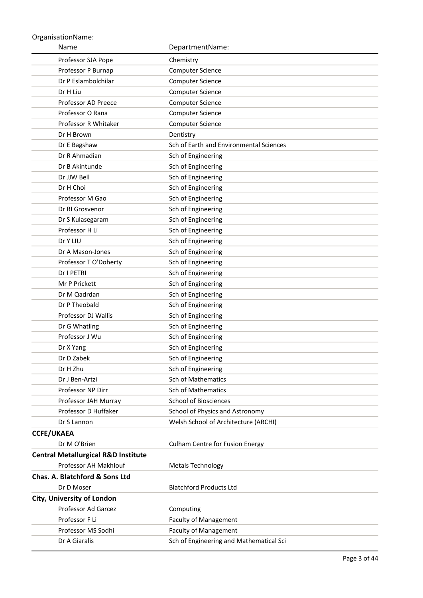| Name                                                    | DepartmentName:                         |
|---------------------------------------------------------|-----------------------------------------|
| Professor SJA Pope                                      | Chemistry                               |
| Professor P Burnap                                      | <b>Computer Science</b>                 |
| Dr P Eslambolchilar                                     | <b>Computer Science</b>                 |
| Dr H Liu                                                | Computer Science                        |
| <b>Professor AD Preece</b>                              | Computer Science                        |
| Professor O Rana                                        | Computer Science                        |
| Professor R Whitaker                                    | <b>Computer Science</b>                 |
| Dr H Brown                                              | Dentistry                               |
| Dr E Bagshaw                                            | Sch of Earth and Environmental Sciences |
| Dr R Ahmadian                                           | Sch of Engineering                      |
| Dr B Akintunde                                          | Sch of Engineering                      |
| Dr JJW Bell                                             | Sch of Engineering                      |
| Dr H Choi                                               | Sch of Engineering                      |
| Professor M Gao                                         | Sch of Engineering                      |
| Dr RI Grosvenor                                         | Sch of Engineering                      |
| Dr S Kulasegaram                                        | Sch of Engineering                      |
| Professor H Li                                          | Sch of Engineering                      |
| Dr Y LIU                                                | Sch of Engineering                      |
| Dr A Mason-Jones                                        | Sch of Engineering                      |
| Professor T O'Doherty                                   | Sch of Engineering                      |
| Dr I PETRI                                              | Sch of Engineering                      |
| Mr P Prickett                                           | Sch of Engineering                      |
| Dr M Qadrdan                                            | Sch of Engineering                      |
| Dr P Theobald                                           | Sch of Engineering                      |
| Professor DJ Wallis                                     | Sch of Engineering                      |
| Dr G Whatling                                           | Sch of Engineering                      |
| Professor J Wu                                          | Sch of Engineering                      |
| Dr X Yang                                               | Sch of Engineering                      |
| Dr D Zabek                                              | Sch of Engineering                      |
| Dr H Zhu                                                | Sch of Engineering                      |
| Dr J Ben-Artzi                                          | <b>Sch of Mathematics</b>               |
| Professor NP Dirr                                       | Sch of Mathematics                      |
| Professor JAH Murray                                    | <b>School of Biosciences</b>            |
| Professor D Huffaker                                    | School of Physics and Astronomy         |
| Dr S Lannon                                             | Welsh School of Architecture (ARCHI)    |
| <b>CCFE/UKAEA</b>                                       |                                         |
| Dr M O'Brien                                            | <b>Culham Centre for Fusion Energy</b>  |
| <b>Central Metallurgical R&amp;D Institute</b>          |                                         |
| Professor AH Makhlouf<br>Chas. A. Blatchford & Sons Ltd | <b>Metals Technology</b>                |
| Dr D Moser                                              | <b>Blatchford Products Ltd</b>          |
| <b>City, University of London</b>                       |                                         |
| Professor Ad Garcez                                     | Computing                               |
| Professor F Li                                          | <b>Faculty of Management</b>            |
| Professor MS Sodhi                                      | <b>Faculty of Management</b>            |
| Dr A Giaralis                                           | Sch of Engineering and Mathematical Sci |
|                                                         |                                         |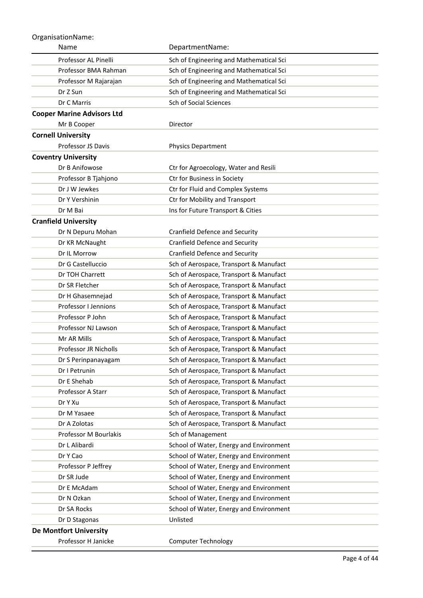| Name                              | DepartmentName:                         |
|-----------------------------------|-----------------------------------------|
| Professor AL Pinelli              | Sch of Engineering and Mathematical Sci |
| Professor BMA Rahman              | Sch of Engineering and Mathematical Sci |
| Professor M Rajarajan             | Sch of Engineering and Mathematical Sci |
| Dr Z Sun                          | Sch of Engineering and Mathematical Sci |
| Dr C Marris                       | Sch of Social Sciences                  |
| <b>Cooper Marine Advisors Ltd</b> |                                         |
| Mr B Cooper                       | Director                                |
| <b>Cornell University</b>         |                                         |
| Professor JS Davis                | <b>Physics Department</b>               |
| <b>Coventry University</b>        |                                         |
| Dr B Anifowose                    | Ctr for Agroecology, Water and Resili   |
| Professor B Tjahjono              | Ctr for Business in Society             |
| Dr J W Jewkes                     | Ctr for Fluid and Complex Systems       |
| Dr Y Vershinin                    | Ctr for Mobility and Transport          |
| Dr M Bai                          | Ins for Future Transport & Cities       |
| <b>Cranfield University</b>       |                                         |
| Dr N Depuru Mohan                 | <b>Cranfield Defence and Security</b>   |
| Dr KR McNaught                    | <b>Cranfield Defence and Security</b>   |
| Dr IL Morrow                      | <b>Cranfield Defence and Security</b>   |
| Dr G Castelluccio                 | Sch of Aerospace, Transport & Manufact  |
| Dr TOH Charrett                   | Sch of Aerospace, Transport & Manufact  |
| Dr SR Fletcher                    | Sch of Aerospace, Transport & Manufact  |
| Dr H Ghasemnejad                  | Sch of Aerospace, Transport & Manufact  |
| Professor I Jennions              | Sch of Aerospace, Transport & Manufact  |
| Professor P John                  | Sch of Aerospace, Transport & Manufact  |
| Professor NJ Lawson               | Sch of Aerospace, Transport & Manufact  |
| Mr AR Mills                       | Sch of Aerospace, Transport & Manufact  |
| Professor JR Nicholls             | Sch of Aerospace, Transport & Manufact  |
| Dr S Perinpanayagam               | Sch of Aerospace, Transport & Manufact  |
| Dr I Petrunin                     | Sch of Aerospace, Transport & Manufact  |
| Dr E Shehab                       | Sch of Aerospace, Transport & Manufact  |
| Professor A Starr                 | Sch of Aerospace, Transport & Manufact  |
| Dr Y Xu                           | Sch of Aerospace, Transport & Manufact  |
| Dr M Yasaee                       | Sch of Aerospace, Transport & Manufact  |
| Dr A Zolotas                      | Sch of Aerospace, Transport & Manufact  |
| Professor M Bourlakis             | Sch of Management                       |
| Dr L Alibardi                     | School of Water, Energy and Environment |
| Dr Y Cao                          | School of Water, Energy and Environment |
| Professor P Jeffrey               | School of Water, Energy and Environment |
| Dr SR Jude                        | School of Water, Energy and Environment |
| Dr E McAdam                       | School of Water, Energy and Environment |
| Dr N Ozkan                        | School of Water, Energy and Environment |
| Dr SA Rocks                       | School of Water, Energy and Environment |
| Dr D Stagonas                     | Unlisted                                |
| <b>De Montfort University</b>     |                                         |
| Professor H Janicke               | <b>Computer Technology</b>              |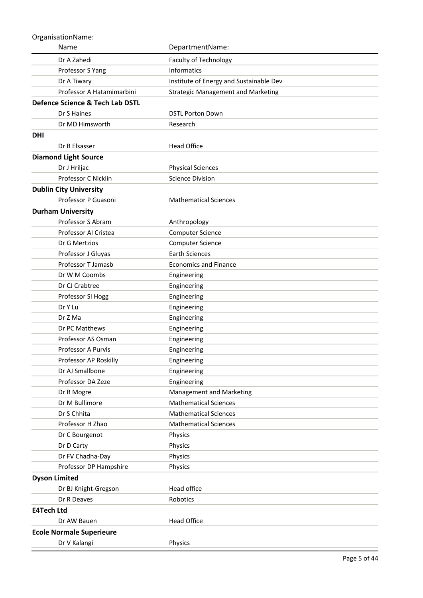| Name                            | DepartmentName:                           |
|---------------------------------|-------------------------------------------|
| Dr A Zahedi                     | Faculty of Technology                     |
| Professor S Yang                | Informatics                               |
| Dr A Tiwary                     | Institute of Energy and Sustainable Dev   |
| Professor A Hatamimarbini       | <b>Strategic Management and Marketing</b> |
| Defence Science & Tech Lab DSTL |                                           |
| Dr S Haines                     | <b>DSTL Porton Down</b>                   |
| Dr MD Himsworth                 | Research                                  |
| <b>DHI</b>                      |                                           |
| Dr B Elsasser                   | <b>Head Office</b>                        |
| <b>Diamond Light Source</b>     |                                           |
| Dr J Hriljac                    | <b>Physical Sciences</b>                  |
| Professor C Nicklin             | <b>Science Division</b>                   |
| <b>Dublin City University</b>   |                                           |
| Professor P Guasoni             | <b>Mathematical Sciences</b>              |
| <b>Durham University</b>        |                                           |
| Professor S Abram               | Anthropology                              |
| Professor AI Cristea            | <b>Computer Science</b>                   |
| Dr G Mertzios                   | <b>Computer Science</b>                   |
| Professor J Gluyas              | <b>Earth Sciences</b>                     |
| Professor T Jamasb              | <b>Economics and Finance</b>              |
| Dr W M Coombs                   | Engineering                               |
| Dr CJ Crabtree                  | Engineering                               |
| Professor SI Hogg               | Engineering                               |
| Dr Y Lu                         | Engineering                               |
| Dr Z Ma                         | Engineering                               |
| Dr PC Matthews                  | Engineering                               |
| Professor AS Osman              | Engineering                               |
| Professor A Purvis              | Engineering                               |
| Professor AP Roskilly           | Engineering                               |
| Dr AJ Smallbone                 | Engineering                               |
| Professor DA Zeze               | Engineering                               |
| Dr R Mogre                      | Management and Marketing                  |
| Dr M Bullimore                  | <b>Mathematical Sciences</b>              |
| Dr S Chhita                     | <b>Mathematical Sciences</b>              |
| Professor H Zhao                | <b>Mathematical Sciences</b>              |
| Dr C Bourgenot                  | Physics                                   |
| Dr D Carty                      | Physics                                   |
| Dr FV Chadha-Day                | Physics                                   |
| Professor DP Hampshire          | Physics                                   |
| <b>Dyson Limited</b>            |                                           |
| Dr BJ Knight-Gregson            | Head office                               |
| Dr R Deaves                     | Robotics                                  |
| <b>E4Tech Ltd</b>               |                                           |
| Dr AW Bauen                     | <b>Head Office</b>                        |
| <b>Ecole Normale Superieure</b> |                                           |
| Dr V Kalangi                    | Physics                                   |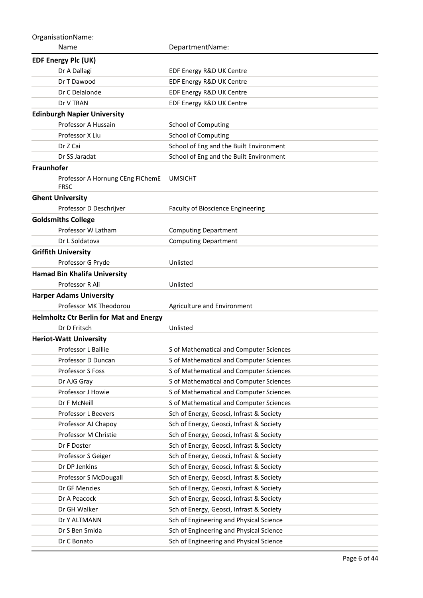Name OrganisationName: DepartmentName: **EDF Energy Plc (UK)** Dr A Dallagi **EDF Energy R&D UK Centre** Dr T Dawood **EDF Energy R&D UK Centre** Dr C Delalonde EDF Energy R&D UK Centre Dr V TRAN EDF Energy R&D UK Centre **Edinburgh Napier University** Professor A Hussain School of Computing Professor X Liu School of Computing Dr Z Cai School of Eng and the Built Environment Dr SS Jaradat School of Eng and the Built Environment **Fraunhofer** Professor A Hornung CEng FIChemE UMSICHT FRSC **Ghent University** Professor D Deschrijver Faculty of Bioscience Engineering **Goldsmiths College** Professor W Latham Computing Department Dr L Soldatova **Computing Department Griffith University** Professor G Pryde Unlisted **Hamad Bin Khalifa University** Professor R Ali Unlisted **Harper Adams University** Professor MK Theodorou Agriculture and Environment **Helmholtz Ctr Berlin for Mat and Energy** Dr D Fritsch Unlisted **Heriot-Watt University** Professor L Baillie Sof Mathematical and Computer Sciences Professor D Duncan S of Mathematical and Computer Sciences Professor S Foss Sof Mathematical and Computer Sciences Dr AJG Gray Sof Mathematical and Computer Sciences Professor J Howie Sof Mathematical and Computer Sciences Dr F McNeill Sof Mathematical and Computer Sciences Professor L Beevers Sch of Energy, Geosci, Infrast & Society Professor AJ Chapoy Sch of Energy, Geosci, Infrast & Society Professor M Christie Sch of Energy, Geosci, Infrast & Society Dr F Doster Sch of Energy, Geosci, Infrast & Society Professor S Geiger Sch of Energy, Geosci, Infrast & Society Dr DP Jenkins Sch of Energy, Geosci, Infrast & Society Professor S McDougall Sch of Energy, Geosci, Infrast & Society Dr GF Menzies Sch of Energy, Geosci, Infrast & Society Dr A Peacock Sch of Energy, Geosci, Infrast & Society Dr GH Walker Sch of Energy, Geosci, Infrast & Society Dr Y ALTMANN Sch of Engineering and Physical Science Dr S Ben Smida Schof Engineering and Physical Science Dr C Bonato Sch of Engineering and Physical Science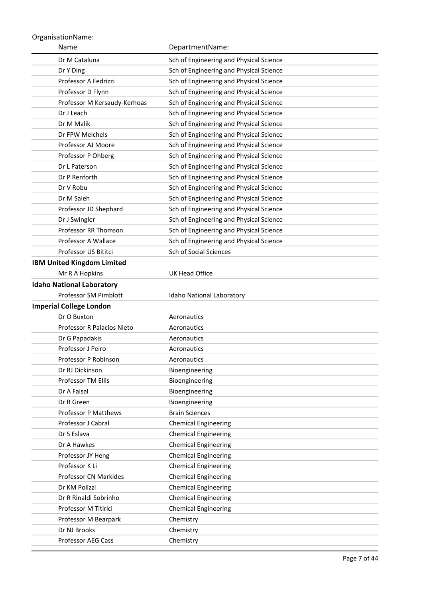| Name                                | DepartmentName:                                            |
|-------------------------------------|------------------------------------------------------------|
| Dr M Cataluna                       | Sch of Engineering and Physical Science                    |
| Dr Y Ding                           | Sch of Engineering and Physical Science                    |
| Professor A Fedrizzi                | Sch of Engineering and Physical Science                    |
| Professor D Flynn                   | Sch of Engineering and Physical Science                    |
| Professor M Kersaudy-Kerhoas        | Sch of Engineering and Physical Science                    |
| Dr J Leach                          | Sch of Engineering and Physical Science                    |
| Dr M Malik                          | Sch of Engineering and Physical Science                    |
| Dr FPW Melchels                     | Sch of Engineering and Physical Science                    |
| Professor AJ Moore                  | Sch of Engineering and Physical Science                    |
| Professor P Ohberg                  | Sch of Engineering and Physical Science                    |
| Dr L Paterson                       | Sch of Engineering and Physical Science                    |
| Dr P Renforth                       | Sch of Engineering and Physical Science                    |
| Dr V Robu                           | Sch of Engineering and Physical Science                    |
| Dr M Saleh                          | Sch of Engineering and Physical Science                    |
| Professor JD Shephard               | Sch of Engineering and Physical Science                    |
| Dr J Swingler                       | Sch of Engineering and Physical Science                    |
| Professor RR Thomson                | Sch of Engineering and Physical Science                    |
| Professor A Wallace                 | Sch of Engineering and Physical Science                    |
| Professor US Bititci                | Sch of Social Sciences                                     |
| <b>IBM United Kingdom Limited</b>   |                                                            |
| Mr R A Hopkins                      | <b>UK Head Office</b>                                      |
| <b>Idaho National Laboratory</b>    |                                                            |
| Professor SM Pimblott               | Idaho National Laboratory                                  |
| <b>Imperial College London</b>      |                                                            |
| Dr O Buxton                         | Aeronautics                                                |
| Professor R Palacios Nieto          | Aeronautics                                                |
| Dr G Papadakis                      | Aeronautics                                                |
| Professor J Peiro                   | Aeronautics                                                |
| Professor P Robinson                | Aeronautics                                                |
| Dr RJ Dickinson                     | Bioengineering                                             |
| <b>Professor TM Ellis</b>           | Bioengineering                                             |
| Dr A Faisal                         | Bioengineering                                             |
| Dr R Green                          | Bioengineering                                             |
| <b>Professor P Matthews</b>         | <b>Brain Sciences</b>                                      |
| Professor J Cabral                  | <b>Chemical Engineering</b>                                |
| Dr S Eslava                         | <b>Chemical Engineering</b>                                |
| Dr A Hawkes                         | <b>Chemical Engineering</b>                                |
| Professor JY Heng<br>Professor K Li | <b>Chemical Engineering</b>                                |
| Professor CN Markides               | <b>Chemical Engineering</b><br><b>Chemical Engineering</b> |
| Dr KM Polizzi                       |                                                            |
| Dr R Rinaldi Sobrinho               | <b>Chemical Engineering</b><br><b>Chemical Engineering</b> |
| Professor M Titirici                | <b>Chemical Engineering</b>                                |
| Professor M Bearpark                | Chemistry                                                  |
| Dr NJ Brooks                        | Chemistry                                                  |
| Professor AEG Cass                  | Chemistry                                                  |
|                                     |                                                            |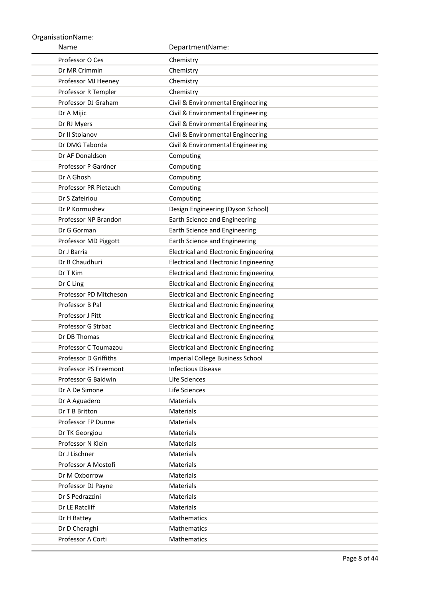| Name                            | DepartmentName:                              |
|---------------------------------|----------------------------------------------|
| Professor O Ces                 | Chemistry                                    |
| Dr MR Crimmin                   | Chemistry                                    |
| Professor MJ Heeney             | Chemistry                                    |
| Professor R Templer             | Chemistry                                    |
| Professor DJ Graham             | Civil & Environmental Engineering            |
| Dr A Mijic                      | Civil & Environmental Engineering            |
| Dr RJ Myers                     | Civil & Environmental Engineering            |
| Dr II Stoianov                  | Civil & Environmental Engineering            |
| Dr DMG Taborda                  | Civil & Environmental Engineering            |
| Dr AF Donaldson                 | Computing                                    |
| Professor P Gardner             | Computing                                    |
| Dr A Ghosh                      | Computing                                    |
| Professor PR Pietzuch           | Computing                                    |
| Dr S Zafeiriou                  | Computing                                    |
| Dr P Kormushev                  | Design Engineering (Dyson School)            |
| Professor NP Brandon            | Earth Science and Engineering                |
| Dr G Gorman                     | Earth Science and Engineering                |
| Professor MD Piggott            | Earth Science and Engineering                |
| Dr J Barria                     | <b>Electrical and Electronic Engineering</b> |
| Dr B Chaudhuri                  | Electrical and Electronic Engineering        |
| Dr T Kim                        | <b>Electrical and Electronic Engineering</b> |
| Dr C Ling                       | <b>Electrical and Electronic Engineering</b> |
| Professor PD Mitcheson          | <b>Electrical and Electronic Engineering</b> |
| Professor B Pal                 | <b>Electrical and Electronic Engineering</b> |
| Professor J Pitt                | <b>Electrical and Electronic Engineering</b> |
| Professor G Strbac              | <b>Electrical and Electronic Engineering</b> |
| Dr DB Thomas                    | <b>Electrical and Electronic Engineering</b> |
| Professor C Toumazou            | <b>Electrical and Electronic Engineering</b> |
| Professor D Griffiths           | <b>Imperial College Business School</b>      |
| <b>Professor PS Freemont</b>    | <b>Infectious Disease</b>                    |
| Professor G Baldwin             | Life Sciences                                |
| Dr A De Simone                  | Life Sciences                                |
| Dr A Aguadero<br>Dr T B Britton | <b>Materials</b>                             |
| Professor FP Dunne              | <b>Materials</b><br>Materials                |
| Dr TK Georgiou                  | <b>Materials</b>                             |
| Professor N Klein               | <b>Materials</b>                             |
| Dr J Lischner                   | <b>Materials</b>                             |
| Professor A Mostofi             | Materials                                    |
| Dr M Oxborrow                   | <b>Materials</b>                             |
| Professor DJ Payne              | Materials                                    |
| Dr S Pedrazzini                 | <b>Materials</b>                             |
| Dr LE Ratcliff                  | Materials                                    |
| Dr H Battey                     | <b>Mathematics</b>                           |
| Dr D Cheraghi                   | <b>Mathematics</b>                           |
| Professor A Corti               | Mathematics                                  |
|                                 |                                              |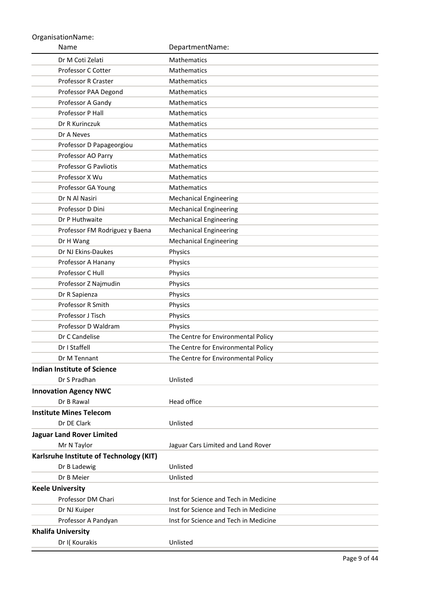| Name                                    | DepartmentName:                       |
|-----------------------------------------|---------------------------------------|
| Dr M Coti Zelati                        | Mathematics                           |
| Professor C Cotter                      | Mathematics                           |
| Professor R Craster                     | Mathematics                           |
| Professor PAA Degond                    | Mathematics                           |
| Professor A Gandy                       | Mathematics                           |
| Professor P Hall                        | Mathematics                           |
| Dr R Kurinczuk                          | Mathematics                           |
| Dr A Neves                              | Mathematics                           |
| Professor D Papageorgiou                | Mathematics                           |
| Professor AO Parry                      | Mathematics                           |
| <b>Professor G Pavliotis</b>            | Mathematics                           |
| Professor X Wu                          | Mathematics                           |
| Professor GA Young                      | Mathematics                           |
| Dr N Al Nasiri                          | <b>Mechanical Engineering</b>         |
| Professor D Dini                        | <b>Mechanical Engineering</b>         |
| Dr P Huthwaite                          | <b>Mechanical Engineering</b>         |
| Professor FM Rodriguez y Baena          | <b>Mechanical Engineering</b>         |
| Dr H Wang                               | <b>Mechanical Engineering</b>         |
| Dr NJ Ekins-Daukes                      | Physics                               |
| Professor A Hanany                      | Physics                               |
| Professor C Hull                        | Physics                               |
| Professor Z Najmudin                    | Physics                               |
| Dr R Sapienza                           | Physics                               |
| Professor R Smith                       | Physics                               |
| Professor J Tisch                       | Physics                               |
| Professor D Waldram                     | Physics                               |
| Dr C Candelise                          | The Centre for Environmental Policy   |
| Dr I Staffell                           | The Centre for Environmental Policy   |
| Dr M Tennant                            | The Centre for Environmental Policy   |
| <b>Indian Institute of Science</b>      |                                       |
| Dr S Pradhan                            | Unlisted                              |
| <b>Innovation Agency NWC</b>            |                                       |
| Dr B Rawal                              | Head office                           |
| <b>Institute Mines Telecom</b>          |                                       |
| Dr DE Clark                             | Unlisted                              |
| <b>Jaguar Land Rover Limited</b>        |                                       |
| Mr N Taylor                             | Jaguar Cars Limited and Land Rover    |
| Karlsruhe Institute of Technology (KIT) |                                       |
| Dr B Ladewig                            | Unlisted                              |
| Dr B Meier                              | Unlisted                              |
| <b>Keele University</b>                 |                                       |
| Professor DM Chari                      | Inst for Science and Tech in Medicine |
| Dr NJ Kuiper                            | Inst for Science and Tech in Medicine |
| Professor A Pandyan                     | Inst for Science and Tech in Medicine |
| <b>Khalifa University</b>               |                                       |
| Dr I(Kourakis                           | Unlisted                              |
|                                         |                                       |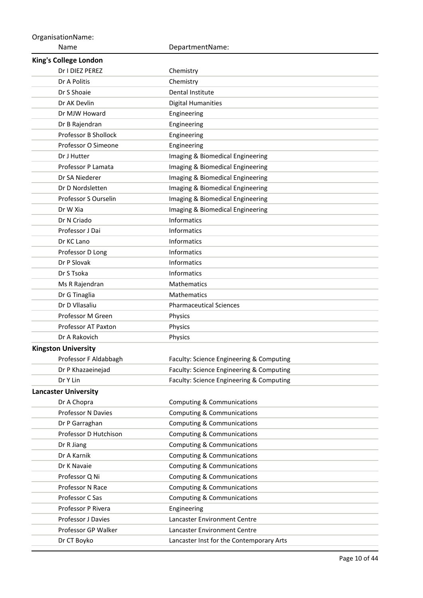Name OrganisationName: DepartmentName: **King's College London** Dr I DIEZ PEREZ Chemistry Dr A Politis **Chemistry** Dr S Shoaie Dental Institute Dr AK Devlin **Digital Humanities** Dr MJW Howard **Engineering** Dr B Rajendran **Engineering** Professor B Shollock Engineering Professor O Simeone **Engineering** Dr J Hutter **Imaging & Biomedical Engineering** Professor P Lamata Imaging & Biomedical Engineering Dr SA Niederer **Imaging & Biomedical Engineering** Dr D Nordsletten Imaging & Biomedical Engineering Professor S Ourselin Imaging & Biomedical Engineering Dr W Xia **Imaging & Biomedical Engineering** Dr N Criado **Informatics** Professor J Dai **Informatics** Dr KC Lano Informatics Professor D Long Informatics Dr P Slovak **Informatics** Dr S Tsoka **Informatics** Ms R Rajendran Mathematics Dr G Tinaglia Mathematics Dr D Vllasaliu Pharmaceutical Sciences Professor M Green Physics Professor AT Paxton Physics Dr A Rakovich **Physics Kingston University** Professor F Aldabbagh Faculty: Science Engineering & Computing Dr P Khazaeinejad Faculty: Science Engineering & Computing Dr Y Lin Faculty: Science Engineering & Computing **Lancaster University** Dr A Chopra Computing & Communications Professor N Davies **Computing & Communications** Dr P Garraghan Computing & Communications Professor D Hutchison Computing & Communications Dr R Jiang Computing & Communications Dr A Karnik Computing & Communications Dr K Navaie **Computing & Communications** Professor Q Ni Computing & Communications Professor N Race Computing & Communications Professor C Sas Computing & Communications Professor P Rivera **Engineering** Professor J Davies Lancaster Environment Centre Professor GP Walker Lancaster Environment Centre Dr CT Boyko Lancaster Inst for the Contemporary Arts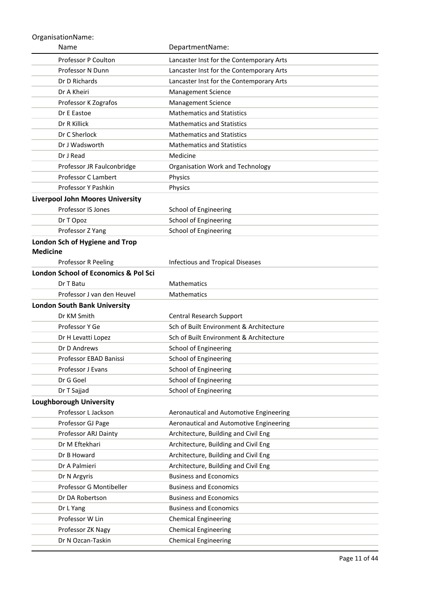| Name                                              | DepartmentName:                          |
|---------------------------------------------------|------------------------------------------|
| Professor P Coulton                               | Lancaster Inst for the Contemporary Arts |
| Professor N Dunn                                  | Lancaster Inst for the Contemporary Arts |
| Dr D Richards                                     | Lancaster Inst for the Contemporary Arts |
| Dr A Kheiri                                       | <b>Management Science</b>                |
| Professor K Zografos                              | <b>Management Science</b>                |
| Dr E Eastoe                                       | <b>Mathematics and Statistics</b>        |
| Dr R Killick                                      | <b>Mathematics and Statistics</b>        |
| Dr C Sherlock                                     | <b>Mathematics and Statistics</b>        |
| Dr J Wadsworth                                    | <b>Mathematics and Statistics</b>        |
| Dr J Read                                         | Medicine                                 |
| Professor JR Faulconbridge                        | Organisation Work and Technology         |
| Professor C Lambert                               | Physics                                  |
| Professor Y Pashkin                               | Physics                                  |
| <b>Liverpool John Moores University</b>           |                                          |
| Professor IS Jones                                | School of Engineering                    |
| Dr T Opoz                                         | <b>School of Engineering</b>             |
| Professor Z Yang                                  | <b>School of Engineering</b>             |
| London Sch of Hygiene and Trop<br><b>Medicine</b> |                                          |
| Professor R Peeling                               | <b>Infectious and Tropical Diseases</b>  |
| London School of Economics & Pol Sci              |                                          |
| Dr T Batu                                         | <b>Mathematics</b>                       |
| Professor J van den Heuvel                        | <b>Mathematics</b>                       |
| <b>London South Bank University</b>               |                                          |
| Dr KM Smith                                       | Central Research Support                 |
| Professor Y Ge                                    | Sch of Built Environment & Architecture  |
| Dr H Levatti Lopez                                | Sch of Built Environment & Architecture  |
| Dr D Andrews                                      | School of Engineering                    |
| Professor EBAD Banissi                            | School of Engineering                    |
| Professor J Evans                                 | <b>School of Engineering</b>             |
| Dr G Goel                                         | School of Engineering                    |
| Dr T Sajjad                                       | School of Engineering                    |
| <b>Loughborough University</b>                    |                                          |
| Professor L Jackson                               | Aeronautical and Automotive Engineering  |
| Professor GJ Page                                 | Aeronautical and Automotive Engineering  |
| Professor ARJ Dainty                              | Architecture, Building and Civil Eng     |
| Dr M Eftekhari                                    | Architecture, Building and Civil Eng     |
| Dr B Howard                                       | Architecture, Building and Civil Eng     |
| Dr A Palmieri                                     | Architecture, Building and Civil Eng     |
| Dr N Argyris                                      | <b>Business and Economics</b>            |
| Professor G Montibeller                           | <b>Business and Economics</b>            |
| Dr DA Robertson                                   | <b>Business and Economics</b>            |
| Dr L Yang                                         | <b>Business and Economics</b>            |
| Professor W Lin                                   | <b>Chemical Engineering</b>              |
| Professor ZK Nagy                                 | <b>Chemical Engineering</b>              |
| Dr N Ozcan-Taskin                                 | <b>Chemical Engineering</b>              |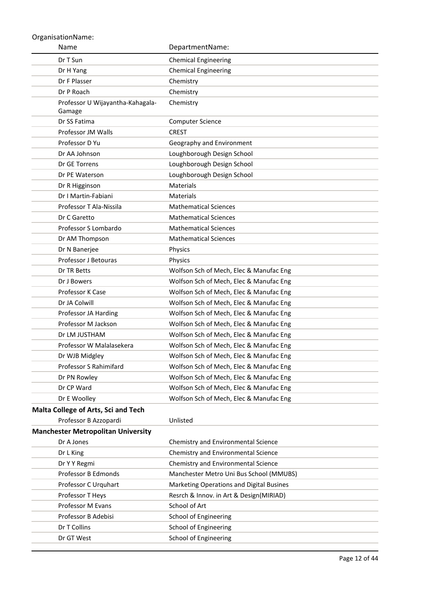| Name                                       | DepartmentName:                          |
|--------------------------------------------|------------------------------------------|
| Dr T Sun                                   | <b>Chemical Engineering</b>              |
| Dr H Yang                                  | <b>Chemical Engineering</b>              |
| Dr F Plasser                               | Chemistry                                |
| Dr P Roach                                 | Chemistry                                |
| Professor U Wijayantha-Kahagala-<br>Gamage | Chemistry                                |
| Dr SS Fatima                               | <b>Computer Science</b>                  |
| Professor JM Walls                         | <b>CREST</b>                             |
| Professor D Yu                             | Geography and Environment                |
| Dr AA Johnson                              | Loughborough Design School               |
| Dr GE Torrens                              | Loughborough Design School               |
| Dr PE Waterson                             | Loughborough Design School               |
| Dr R Higginson                             | <b>Materials</b>                         |
| Dr I Martin-Fabiani                        | <b>Materials</b>                         |
| Professor T Ala-Nissila                    | <b>Mathematical Sciences</b>             |
| Dr C Garetto                               | <b>Mathematical Sciences</b>             |
| Professor S Lombardo                       | <b>Mathematical Sciences</b>             |
| Dr AM Thompson                             | <b>Mathematical Sciences</b>             |
| Dr N Banerjee                              | Physics                                  |
| <b>Professor J Betouras</b>                | Physics                                  |
| Dr TR Betts                                | Wolfson Sch of Mech, Elec & Manufac Eng  |
| Dr J Bowers                                | Wolfson Sch of Mech, Elec & Manufac Eng  |
| Professor K Case                           | Wolfson Sch of Mech, Elec & Manufac Eng  |
| Dr JA Colwill                              | Wolfson Sch of Mech, Elec & Manufac Eng  |
| Professor JA Harding                       | Wolfson Sch of Mech, Elec & Manufac Eng  |
| Professor M Jackson                        | Wolfson Sch of Mech, Elec & Manufac Eng  |
| Dr LM JUSTHAM                              | Wolfson Sch of Mech, Elec & Manufac Eng  |
| Professor W Malalasekera                   | Wolfson Sch of Mech, Elec & Manufac Eng  |
| Dr WJB Midgley                             | Wolfson Sch of Mech, Elec & Manufac Eng  |
| Professor S Rahimifard                     | Wolfson Sch of Mech, Elec & Manufac Eng  |
| Dr PN Rowley                               | Wolfson Sch of Mech, Elec & Manufac Eng  |
| Dr CP Ward                                 | Wolfson Sch of Mech, Elec & Manufac Eng  |
| Dr E Woolley                               | Wolfson Sch of Mech, Elec & Manufac Eng  |
| Malta College of Arts, Sci and Tech        |                                          |
| Professor B Azzopardi                      | Unlisted                                 |
| <b>Manchester Metropolitan University</b>  |                                          |
| Dr A Jones                                 | Chemistry and Environmental Science      |
| Dr L King                                  | Chemistry and Environmental Science      |
| Dr Y Y Regmi                               | Chemistry and Environmental Science      |
| Professor B Edmonds                        | Manchester Metro Uni Bus School (MMUBS)  |
| Professor C Urquhart                       | Marketing Operations and Digital Busines |
| Professor T Heys                           | Resrch & Innov. in Art & Design(MIRIAD)  |
| Professor M Evans                          | School of Art                            |
| Professor B Adebisi                        | School of Engineering                    |
| Dr T Collins                               | School of Engineering                    |
| Dr GT West                                 | <b>School of Engineering</b>             |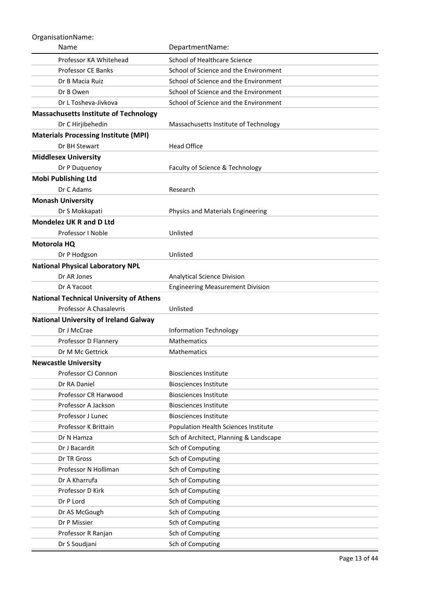| Name                                           | DepartmentName:                             |
|------------------------------------------------|---------------------------------------------|
| Professor KA Whitehead                         | School of Healthcare Science                |
| <b>Professor CE Banks</b>                      | School of Science and the Environment       |
| Dr B Macia Ruiz                                | School of Science and the Environment       |
| Dr B Owen                                      | School of Science and the Environment       |
| Dr L Tosheva-Jivkova                           | School of Science and the Environment       |
| <b>Massachusetts Institute of Technology</b>   |                                             |
| Dr C Hirjibehedin                              | Massachusetts Institute of Technology       |
| <b>Materials Processing Institute (MPI)</b>    |                                             |
| Dr BH Stewart                                  | <b>Head Office</b>                          |
| <b>Middlesex University</b>                    |                                             |
| Dr P Duquenoy                                  | Faculty of Science & Technology             |
| <b>Mobi Publishing Ltd</b>                     |                                             |
| Dr C Adams                                     | Research                                    |
| <b>Monash University</b>                       |                                             |
| Dr S Mokkapati                                 | Physics and Materials Engineering           |
| <b>Mondelez UK R and D Ltd</b>                 |                                             |
| Professor I Noble                              | Unlisted                                    |
| Motorola HQ                                    |                                             |
| Dr P Hodgson                                   | Unlisted                                    |
| <b>National Physical Laboratory NPL</b>        |                                             |
| Dr AR Jones                                    | Analytical Science Division                 |
| Dr A Yacoot                                    | <b>Engineering Measurement Division</b>     |
| <b>National Technical University of Athens</b> |                                             |
| Professor A Chasalevris                        | Unlisted                                    |
| <b>National University of Ireland Galway</b>   |                                             |
| Dr J McCrae                                    | <b>Information Technology</b>               |
| Professor D Flannery                           | <b>Mathematics</b>                          |
| Dr M Mc Gettrick                               | <b>Mathematics</b>                          |
| <b>Newcastle University</b>                    |                                             |
| Professor CJ Connon                            | <b>Biosciences Institute</b>                |
| Dr RA Daniel                                   | <b>Biosciences Institute</b>                |
| Professor CR Harwood                           | <b>Biosciences Institute</b>                |
| Professor A Jackson                            | <b>Biosciences Institute</b>                |
| Professor J Lunec                              | <b>Biosciences Institute</b>                |
| Professor K Brittain                           | <b>Population Health Sciences Institute</b> |
| Dr N Hamza                                     | Sch of Architect, Planning & Landscape      |
| Dr J Bacardit                                  | Sch of Computing                            |
| Dr TR Gross                                    | Sch of Computing                            |
| Professor N Holliman                           | Sch of Computing                            |
| Dr A Kharrufa                                  | Sch of Computing                            |
| Professor D Kirk                               | Sch of Computing                            |
| Dr P Lord                                      | Sch of Computing                            |
| Dr AS McGough                                  | Sch of Computing                            |
| Dr P Missier                                   | Sch of Computing                            |
| Professor R Ranjan                             | Sch of Computing                            |
| Dr S Soudjani                                  | Sch of Computing                            |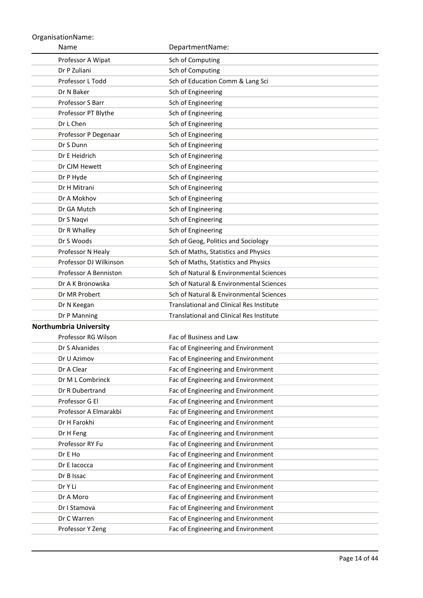| Name                          | DepartmentName:                                 |
|-------------------------------|-------------------------------------------------|
| Professor A Wipat             | Sch of Computing                                |
| Dr P Zuliani                  | Sch of Computing                                |
| Professor L Todd              | Sch of Education Comm & Lang Sci                |
| Dr N Baker                    | Sch of Engineering                              |
| Professor S Barr              | Sch of Engineering                              |
| Professor PT Blythe           | Sch of Engineering                              |
| Dr L Chen                     | Sch of Engineering                              |
| Professor P Degenaar          | Sch of Engineering                              |
| Dr S Dunn                     | Sch of Engineering                              |
| Dr E Heidrich                 | Sch of Engineering                              |
| Dr CJM Hewett                 | Sch of Engineering                              |
| Dr P Hyde                     | Sch of Engineering                              |
| Dr H Mitrani                  | Sch of Engineering                              |
| Dr A Mokhov                   | Sch of Engineering                              |
| Dr GA Mutch                   | Sch of Engineering                              |
| Dr S Naqvi                    | Sch of Engineering                              |
| Dr R Whalley                  | Sch of Engineering                              |
| Dr S Woods                    | Sch of Geog, Politics and Sociology             |
| Professor N Healy             | Sch of Maths, Statistics and Physics            |
| Professor DJ Wilkinson        | Sch of Maths, Statistics and Physics            |
| Professor A Benniston         | Sch of Natural & Environmental Sciences         |
| Dr A K Bronowska              | Sch of Natural & Environmental Sciences         |
| Dr MR Probert                 | Sch of Natural & Environmental Sciences         |
| Dr N Keegan                   | <b>Translational and Clinical Res Institute</b> |
| Dr P Manning                  | <b>Translational and Clinical Res Institute</b> |
| <b>Northumbria University</b> |                                                 |
| Professor RG Wilson           | Fac of Business and Law                         |
| Dr S Alvanides                | Fac of Engineering and Environment              |
| Dr U Azimov                   | Fac of Engineering and Environment              |
| Dr A Clear                    | Fac of Engineering and Environment              |
| Dr M L Combrinck              | Fac of Engineering and Environment              |
| Dr R Dubertrand               | Fac of Engineering and Environment              |
| Professor G El                | Fac of Engineering and Environment              |
| Professor A Elmarakbi         | Fac of Engineering and Environment              |
| Dr H Farokhi                  | Fac of Engineering and Environment              |
| Dr H Feng                     | Fac of Engineering and Environment              |
| Professor RY Fu               | Fac of Engineering and Environment              |
| Dr E Ho                       | Fac of Engineering and Environment              |
| Dr E lacocca                  | Fac of Engineering and Environment              |
| Dr B Issac                    | Fac of Engineering and Environment              |
| Dr Y Li                       | Fac of Engineering and Environment              |
| Dr A Moro                     | Fac of Engineering and Environment              |
| Dr I Stamova                  | Fac of Engineering and Environment              |
| Dr C Warren                   | Fac of Engineering and Environment              |
| Professor Y Zeng              | Fac of Engineering and Environment              |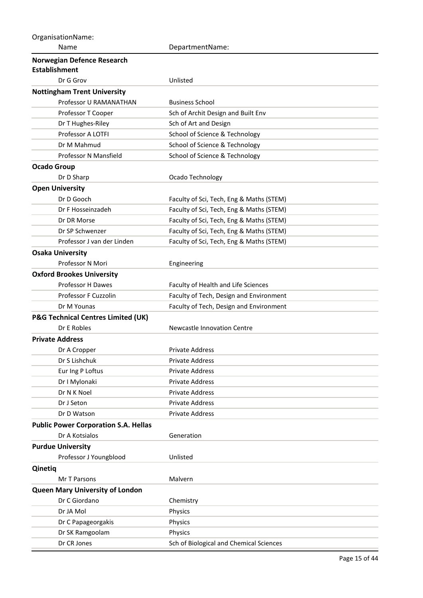| OrganisationName:                             |                                          |
|-----------------------------------------------|------------------------------------------|
| Name                                          | DepartmentName:                          |
| Norwegian Defence Research                    |                                          |
| <b>Establishment</b>                          |                                          |
| Dr G Grov                                     | Unlisted                                 |
| <b>Nottingham Trent University</b>            |                                          |
| Professor U RAMANATHAN                        | <b>Business School</b>                   |
| Professor T Cooper                            | Sch of Archit Design and Built Env       |
| Dr T Hughes-Riley                             | Sch of Art and Design                    |
| Professor A LOTFI                             | School of Science & Technology           |
| Dr M Mahmud                                   | School of Science & Technology           |
| Professor N Mansfield                         | School of Science & Technology           |
| <b>Ocado Group</b>                            |                                          |
| Dr D Sharp                                    | Ocado Technology                         |
| <b>Open University</b>                        |                                          |
| Dr D Gooch                                    | Faculty of Sci, Tech, Eng & Maths (STEM) |
| Dr F Hosseinzadeh                             | Faculty of Sci, Tech, Eng & Maths (STEM) |
| Dr DR Morse                                   | Faculty of Sci, Tech, Eng & Maths (STEM) |
| Dr SP Schwenzer                               | Faculty of Sci, Tech, Eng & Maths (STEM) |
| Professor J van der Linden                    | Faculty of Sci, Tech, Eng & Maths (STEM) |
| <b>Osaka University</b>                       |                                          |
| Professor N Mori                              | Engineering                              |
| <b>Oxford Brookes University</b>              |                                          |
| Professor H Dawes                             | Faculty of Health and Life Sciences      |
| Professor F Cuzzolin                          | Faculty of Tech, Design and Environment  |
| Dr M Younas                                   | Faculty of Tech, Design and Environment  |
| <b>P&amp;G Technical Centres Limited (UK)</b> |                                          |
| Dr E Robles                                   | Newcastle Innovation Centre              |
| <b>Private Address</b>                        |                                          |
| Dr A Cropper                                  | <b>Private Address</b>                   |
| Dr S Lishchuk                                 | Private Address                          |
| Eur Ing P Loftus                              | Private Address                          |
| Dr I Mylonaki                                 | Private Address                          |
| Dr N K Noel                                   | Private Address                          |
| Dr J Seton                                    | <b>Private Address</b>                   |
| Dr D Watson                                   | Private Address                          |
| <b>Public Power Corporation S.A. Hellas</b>   |                                          |
| Dr A Kotsialos                                | Generation                               |
| <b>Purdue University</b>                      |                                          |
| Professor J Youngblood                        | Unlisted                                 |
| Qinetiq                                       |                                          |
| Mr T Parsons                                  | Malvern                                  |
| <b>Queen Mary University of London</b>        |                                          |
| Dr C Giordano                                 | Chemistry                                |
| Dr JA Mol                                     | Physics                                  |
| Dr C Papageorgakis                            | Physics                                  |
| Dr SK Ramgoolam                               | Physics                                  |
| Dr CR Jones                                   | Sch of Biological and Chemical Sciences  |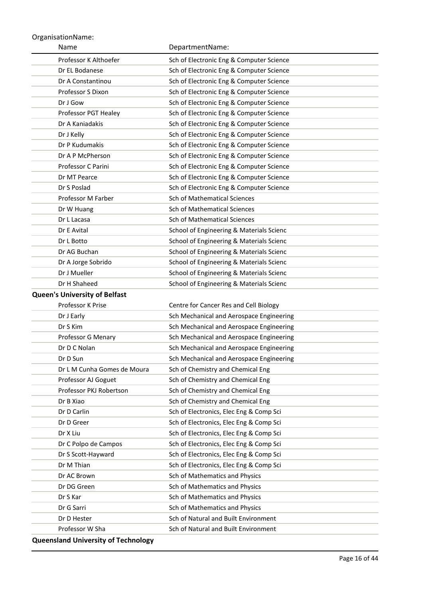| Name                                 | DepartmentName:                          |
|--------------------------------------|------------------------------------------|
| Professor K Althoefer                | Sch of Electronic Eng & Computer Science |
| Dr EL Bodanese                       | Sch of Electronic Eng & Computer Science |
| Dr A Constantinou                    | Sch of Electronic Eng & Computer Science |
| Professor S Dixon                    | Sch of Electronic Eng & Computer Science |
| Dr J Gow                             | Sch of Electronic Eng & Computer Science |
| Professor PGT Healey                 | Sch of Electronic Eng & Computer Science |
| Dr A Kaniadakis                      | Sch of Electronic Eng & Computer Science |
| Dr J Kelly                           | Sch of Electronic Eng & Computer Science |
| Dr P Kudumakis                       | Sch of Electronic Eng & Computer Science |
| Dr A P McPherson                     | Sch of Electronic Eng & Computer Science |
| Professor C Parini                   | Sch of Electronic Eng & Computer Science |
| Dr MT Pearce                         | Sch of Electronic Eng & Computer Science |
| Dr S Poslad                          | Sch of Electronic Eng & Computer Science |
| Professor M Farber                   | <b>Sch of Mathematical Sciences</b>      |
| Dr W Huang                           | Sch of Mathematical Sciences             |
| Dr L Lacasa                          | <b>Sch of Mathematical Sciences</b>      |
| Dr E Avital                          | School of Engineering & Materials Scienc |
| Dr L Botto                           | School of Engineering & Materials Scienc |
| Dr AG Buchan                         | School of Engineering & Materials Scienc |
| Dr A Jorge Sobrido                   | School of Engineering & Materials Scienc |
| Dr J Mueller                         | School of Engineering & Materials Scienc |
| Dr H Shaheed                         | School of Engineering & Materials Scienc |
| <b>Queen's University of Belfast</b> |                                          |
| Professor K Prise                    | Centre for Cancer Res and Cell Biology   |
| Dr J Early                           | Sch Mechanical and Aerospace Engineering |
| Dr S Kim                             | Sch Mechanical and Aerospace Engineering |
| Professor G Menary                   | Sch Mechanical and Aerospace Engineering |
| Dr D C Nolan                         | Sch Mechanical and Aerospace Engineering |
| Dr D Sun                             | Sch Mechanical and Aerospace Engineering |
| Dr L M Cunha Gomes de Moura          | Sch of Chemistry and Chemical Eng        |
| Professor AJ Goguet                  | Sch of Chemistry and Chemical Eng        |
| Professor PKJ Robertson              | Sch of Chemistry and Chemical Eng        |
| Dr B Xiao                            | Sch of Chemistry and Chemical Eng        |
| Dr D Carlin                          | Sch of Electronics, Elec Eng & Comp Sci  |
| Dr D Greer                           | Sch of Electronics, Elec Eng & Comp Sci  |
| Dr X Liu                             | Sch of Electronics, Elec Eng & Comp Sci  |
| Dr C Polpo de Campos                 | Sch of Electronics, Elec Eng & Comp Sci  |
| Dr S Scott-Hayward                   | Sch of Electronics, Elec Eng & Comp Sci  |
| Dr M Thian                           | Sch of Electronics, Elec Eng & Comp Sci  |
| Dr AC Brown                          | Sch of Mathematics and Physics           |
| Dr DG Green                          | Sch of Mathematics and Physics           |
| Dr S Kar                             | Sch of Mathematics and Physics           |
| Dr G Sarri                           | Sch of Mathematics and Physics           |
| Dr D Hester                          | Sch of Natural and Built Environment     |
| Professor W Sha                      | Sch of Natural and Built Environment     |
|                                      |                                          |

**Queensland University of Technology**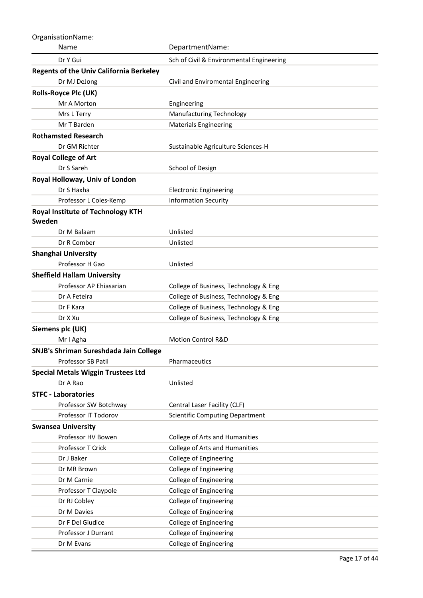| OrganisationName:                                  |                                          |
|----------------------------------------------------|------------------------------------------|
| Name                                               | DepartmentName:                          |
| Dr Y Gui                                           | Sch of Civil & Environmental Engineering |
| <b>Regents of the Univ California Berkeley</b>     |                                          |
| Dr MJ DeJong                                       | Civil and Enviromental Engineering       |
| <b>Rolls-Royce Plc (UK)</b>                        |                                          |
| Mr A Morton                                        | Engineering                              |
| Mrs L Terry                                        | <b>Manufacturing Technology</b>          |
| Mr T Barden                                        | <b>Materials Engineering</b>             |
| <b>Rothamsted Research</b>                         |                                          |
| Dr GM Richter                                      | Sustainable Agriculture Sciences-H       |
| <b>Royal College of Art</b>                        |                                          |
| Dr S Sareh                                         | School of Design                         |
| Royal Holloway, Univ of London                     |                                          |
| Dr S Haxha                                         | <b>Electronic Engineering</b>            |
| Professor L Coles-Kemp                             | <b>Information Security</b>              |
| <b>Royal Institute of Technology KTH</b><br>Sweden |                                          |
| Dr M Balaam                                        | Unlisted                                 |
| Dr R Comber                                        | Unlisted                                 |
| <b>Shanghai University</b>                         |                                          |
| Professor H Gao                                    | Unlisted                                 |
| <b>Sheffield Hallam University</b>                 |                                          |
| Professor AP Ehiasarian                            | College of Business, Technology & Eng    |
| Dr A Feteira                                       | College of Business, Technology & Eng    |
| Dr F Kara                                          | College of Business, Technology & Eng    |
| Dr X Xu                                            | College of Business, Technology & Eng    |
| Siemens plc (UK)                                   |                                          |
| Mr I Agha                                          | <b>Motion Control R&amp;D</b>            |
| SNJB's Shriman Sureshdada Jain College             |                                          |
| Professor SB Patil                                 | Pharmaceutics                            |
| <b>Special Metals Wiggin Trustees Ltd</b>          |                                          |
| Dr A Rao                                           | Unlisted                                 |
| <b>STFC - Laboratories</b>                         |                                          |
| Professor SW Botchway                              | Central Laser Facility (CLF)             |
| Professor IT Todorov                               | <b>Scientific Computing Department</b>   |
| <b>Swansea University</b>                          |                                          |
| Professor HV Bowen                                 | College of Arts and Humanities           |
| Professor T Crick                                  | College of Arts and Humanities           |
| Dr J Baker                                         | College of Engineering                   |
| Dr MR Brown                                        | College of Engineering                   |
| Dr M Carnie                                        | College of Engineering                   |
| Professor T Claypole                               | College of Engineering                   |
| Dr RJ Cobley                                       | College of Engineering                   |
| Dr M Davies                                        | College of Engineering                   |
| Dr F Del Giudice                                   | College of Engineering                   |
| Professor J Durrant                                | College of Engineering                   |
| Dr M Evans                                         | College of Engineering                   |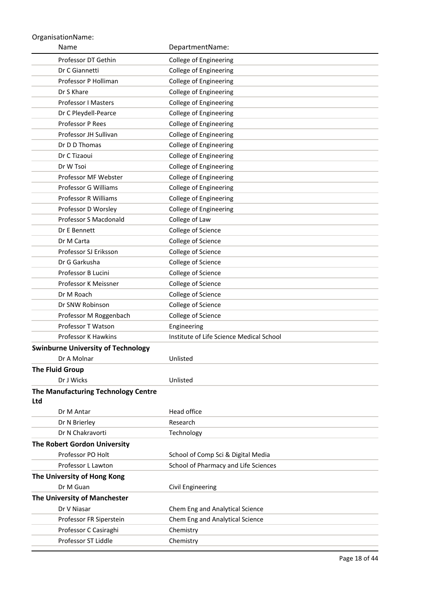| Name                                              | DepartmentName:                          |
|---------------------------------------------------|------------------------------------------|
| Professor DT Gethin                               | College of Engineering                   |
| Dr C Giannetti                                    | College of Engineering                   |
| Professor P Holliman                              | College of Engineering                   |
| Dr S Khare                                        | College of Engineering                   |
| Professor I Masters                               | College of Engineering                   |
| Dr C Pleydell-Pearce                              | College of Engineering                   |
| Professor P Rees                                  | College of Engineering                   |
| Professor JH Sullivan                             | College of Engineering                   |
| Dr D D Thomas                                     | College of Engineering                   |
| Dr C Tizaoui                                      | College of Engineering                   |
| Dr W Tsoi                                         | College of Engineering                   |
| Professor MF Webster                              | College of Engineering                   |
| Professor G Williams                              | College of Engineering                   |
| Professor R Williams                              | College of Engineering                   |
| Professor D Worsley                               | College of Engineering                   |
| Professor S Macdonald                             | College of Law                           |
| Dr E Bennett                                      | College of Science                       |
| Dr M Carta                                        | College of Science                       |
| Professor SJ Eriksson                             | College of Science                       |
| Dr G Garkusha                                     | College of Science                       |
| Professor B Lucini                                | College of Science                       |
| Professor K Meissner                              | College of Science                       |
| Dr M Roach                                        | College of Science                       |
| Dr SNW Robinson                                   | College of Science                       |
| Professor M Roggenbach                            | College of Science                       |
| Professor T Watson                                | Engineering                              |
| Professor K Hawkins                               | Institute of Life Science Medical School |
| <b>Swinburne University of Technology</b>         |                                          |
| Dr A Molnar                                       | Unlisted                                 |
| <b>The Fluid Group</b>                            |                                          |
| Dr J Wicks                                        | Unlisted                                 |
| The Manufacturing Technology Centre<br><b>Ltd</b> |                                          |
| Dr M Antar                                        | Head office                              |
| Dr N Brierley                                     | Research                                 |
| Dr N Chakravorti                                  | Technology                               |
| The Robert Gordon University                      |                                          |
| Professor PO Holt                                 | School of Comp Sci & Digital Media       |
| Professor L Lawton                                | School of Pharmacy and Life Sciences     |
| The University of Hong Kong                       |                                          |
| Dr M Guan                                         | Civil Engineering                        |
| The University of Manchester                      |                                          |
| Dr V Niasar                                       | Chem Eng and Analytical Science          |
| Professor FR Siperstein                           | Chem Eng and Analytical Science          |
| Professor C Casiraghi                             | Chemistry                                |
| Professor ST Liddle                               | Chemistry                                |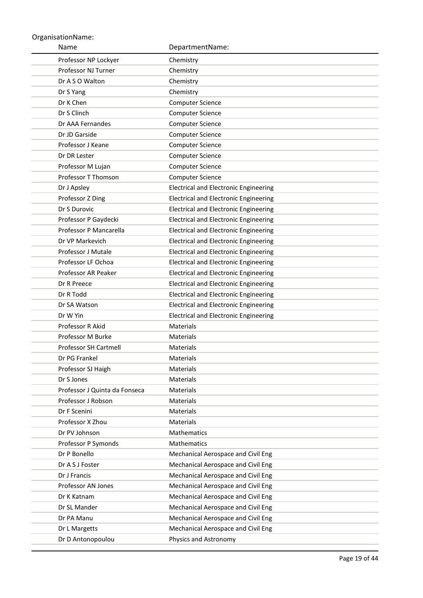| Name                                | DepartmentName:                                                          |
|-------------------------------------|--------------------------------------------------------------------------|
| Professor NP Lockyer                | Chemistry                                                                |
| Professor NJ Turner                 | Chemistry                                                                |
| Dr A S O Walton                     | Chemistry                                                                |
| Dr S Yang                           | Chemistry                                                                |
| Dr K Chen                           | Computer Science                                                         |
| Dr S Clinch                         | Computer Science                                                         |
| Dr AAA Fernandes                    | <b>Computer Science</b>                                                  |
| Dr JD Garside                       | <b>Computer Science</b>                                                  |
| Professor J Keane                   | Computer Science                                                         |
| Dr DR Lester                        | Computer Science                                                         |
| Professor M Lujan                   | Computer Science                                                         |
| Professor T Thomson                 | Computer Science                                                         |
| Dr J Apsley                         | <b>Electrical and Electronic Engineering</b>                             |
| Professor Z Ding                    | <b>Electrical and Electronic Engineering</b>                             |
| Dr S Durovic                        | <b>Electrical and Electronic Engineering</b>                             |
| Professor P Gaydecki                | <b>Electrical and Electronic Engineering</b>                             |
| Professor P Mancarella              | <b>Electrical and Electronic Engineering</b>                             |
| Dr VP Markevich                     | <b>Electrical and Electronic Engineering</b>                             |
| Professor J Mutale                  | <b>Electrical and Electronic Engineering</b>                             |
| Professor LF Ochoa                  | <b>Electrical and Electronic Engineering</b>                             |
| Professor AR Peaker                 | <b>Electrical and Electronic Engineering</b>                             |
| Dr R Preece                         | <b>Electrical and Electronic Engineering</b>                             |
| Dr R Todd                           | <b>Electrical and Electronic Engineering</b>                             |
| Dr SA Watson                        | <b>Electrical and Electronic Engineering</b>                             |
| Dr W Yin                            | <b>Electrical and Electronic Engineering</b>                             |
| Professor R Akid                    | <b>Materials</b>                                                         |
| Professor M Burke                   | Materials                                                                |
| Professor SH Cartmell               | <b>Materials</b>                                                         |
| Dr PG Frankel                       | Materials                                                                |
| Professor SJ Haigh                  | <b>Materials</b>                                                         |
| Dr S Jones                          | <b>Materials</b>                                                         |
| Professor J Quinta da Fonseca       | <b>Materials</b>                                                         |
| Professor J Robson                  | <b>Materials</b>                                                         |
| Dr F Scenini                        | <b>Materials</b>                                                         |
| Professor X Zhou<br>Dr PV Johnson   | <b>Materials</b><br>Mathematics                                          |
|                                     | <b>Mathematics</b>                                                       |
| Professor P Symonds<br>Dr P Bonello | Mechanical Aerospace and Civil Eng                                       |
| Dr A S J Foster                     |                                                                          |
| Dr J Francis                        | Mechanical Aerospace and Civil Eng<br>Mechanical Aerospace and Civil Eng |
| Professor AN Jones                  | Mechanical Aerospace and Civil Eng                                       |
| Dr K Katnam                         | Mechanical Aerospace and Civil Eng                                       |
| Dr SL Mander                        | Mechanical Aerospace and Civil Eng                                       |
| Dr PA Manu                          | Mechanical Aerospace and Civil Eng                                       |
| Dr L Margetts                       | Mechanical Aerospace and Civil Eng                                       |
| Dr D Antonopoulou                   | Physics and Astronomy                                                    |
|                                     |                                                                          |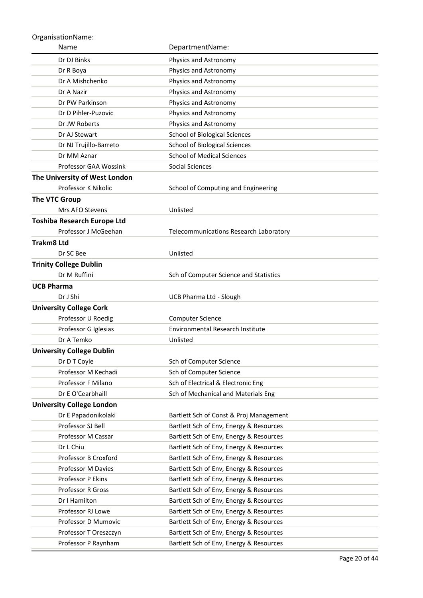| Name                               | DepartmentName:                         |
|------------------------------------|-----------------------------------------|
| Dr DJ Binks                        | Physics and Astronomy                   |
| Dr R Boya                          | Physics and Astronomy                   |
| Dr A Mishchenko                    | Physics and Astronomy                   |
| Dr A Nazir                         | Physics and Astronomy                   |
| Dr PW Parkinson                    | Physics and Astronomy                   |
| Dr D Pihler-Puzovic                | Physics and Astronomy                   |
| Dr JW Roberts                      | Physics and Astronomy                   |
| Dr AJ Stewart                      | <b>School of Biological Sciences</b>    |
| Dr NJ Trujillo-Barreto             | <b>School of Biological Sciences</b>    |
| Dr MM Aznar                        | <b>School of Medical Sciences</b>       |
| Professor GAA Wossink              | Social Sciences                         |
| The University of West London      |                                         |
| Professor K Nikolic                | School of Computing and Engineering     |
| <b>The VTC Group</b>               |                                         |
| Mrs AFO Stevens                    | Unlisted                                |
| <b>Toshiba Research Europe Ltd</b> |                                         |
| Professor J McGeehan               | Telecommunications Research Laboratory  |
| <b>Trakm8 Ltd</b>                  |                                         |
| Dr SC Bee                          | Unlisted                                |
| <b>Trinity College Dublin</b>      |                                         |
| Dr M Ruffini                       | Sch of Computer Science and Statistics  |
| <b>UCB Pharma</b>                  |                                         |
| Dr J Shi                           | <b>UCB Pharma Ltd - Slough</b>          |
| <b>University College Cork</b>     |                                         |
| Professor U Roedig                 | <b>Computer Science</b>                 |
| Professor G Iglesias               | Environmental Research Institute        |
| Dr A Temko                         | Unlisted                                |
| <b>University College Dublin</b>   |                                         |
| Dr D T Coyle                       | Sch of Computer Science                 |
| Professor M Kechadi                | Sch of Computer Science                 |
| Professor F Milano                 | Sch of Electrical & Electronic Eng      |
| Dr E O'Cearbhaill                  | Sch of Mechanical and Materials Eng     |
| <b>University College London</b>   |                                         |
| Dr E Papadonikolaki                | Bartlett Sch of Const & Proj Management |
| Professor SJ Bell                  | Bartlett Sch of Env, Energy & Resources |
| Professor M Cassar                 | Bartlett Sch of Env, Energy & Resources |
| Dr L Chiu                          | Bartlett Sch of Env, Energy & Resources |
| Professor B Croxford               | Bartlett Sch of Env, Energy & Resources |
| Professor M Davies                 | Bartlett Sch of Env, Energy & Resources |
| Professor P Ekins                  | Bartlett Sch of Env, Energy & Resources |
| Professor R Gross                  | Bartlett Sch of Env, Energy & Resources |
| Dr I Hamilton                      | Bartlett Sch of Env, Energy & Resources |
| Professor RJ Lowe                  | Bartlett Sch of Env, Energy & Resources |
| Professor D Mumovic                | Bartlett Sch of Env, Energy & Resources |
| Professor T Oreszczyn              | Bartlett Sch of Env, Energy & Resources |
| Professor P Raynham                | Bartlett Sch of Env, Energy & Resources |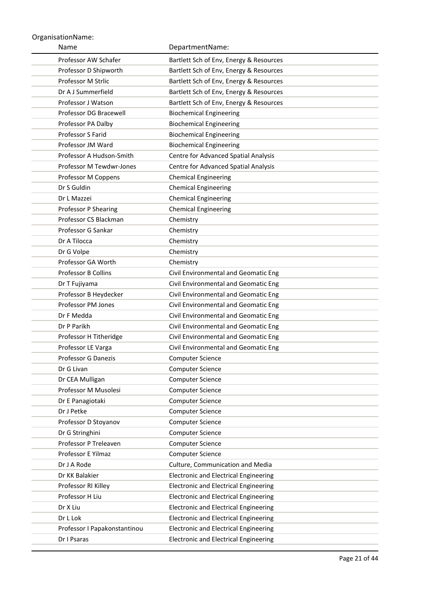| Name                         | DepartmentName:                              |
|------------------------------|----------------------------------------------|
| Professor AW Schafer         | Bartlett Sch of Env, Energy & Resources      |
| Professor D Shipworth        | Bartlett Sch of Env, Energy & Resources      |
| Professor M Strlic           | Bartlett Sch of Env, Energy & Resources      |
| Dr A J Summerfield           | Bartlett Sch of Env, Energy & Resources      |
| Professor J Watson           | Bartlett Sch of Env, Energy & Resources      |
| Professor DG Bracewell       | <b>Biochemical Engineering</b>               |
| Professor PA Dalby           | <b>Biochemical Engineering</b>               |
| Professor S Farid            | <b>Biochemical Engineering</b>               |
| Professor JM Ward            | <b>Biochemical Engineering</b>               |
| Professor A Hudson-Smith     | Centre for Advanced Spatial Analysis         |
| Professor M Tewdwr-Jones     | Centre for Advanced Spatial Analysis         |
| Professor M Coppens          | <b>Chemical Engineering</b>                  |
| Dr S Guldin                  | <b>Chemical Engineering</b>                  |
| Dr L Mazzei                  | <b>Chemical Engineering</b>                  |
| Professor P Shearing         | <b>Chemical Engineering</b>                  |
| Professor CS Blackman        | Chemistry                                    |
| Professor G Sankar           | Chemistry                                    |
| Dr A Tilocca                 | Chemistry                                    |
| Dr G Volpe                   | Chemistry                                    |
| Professor GA Worth           | Chemistry                                    |
| <b>Professor B Collins</b>   | Civil Environmental and Geomatic Eng         |
| Dr T Fujiyama                | Civil Environmental and Geomatic Eng         |
| Professor B Heydecker        | Civil Environmental and Geomatic Eng         |
| Professor PM Jones           | Civil Environmental and Geomatic Eng         |
| Dr F Medda                   | Civil Environmental and Geomatic Eng         |
| Dr P Parikh                  | Civil Environmental and Geomatic Eng         |
| Professor H Titheridge       | Civil Environmental and Geomatic Eng         |
| Professor LE Varga           | Civil Environmental and Geomatic Eng         |
| <b>Professor G Danezis</b>   | <b>Computer Science</b>                      |
| Dr G Livan                   | <b>Computer Science</b>                      |
| Dr CEA Mulligan              | Computer Science                             |
| Professor M Musolesi         | Computer Science                             |
| Dr E Panagiotaki             | Computer Science                             |
| Dr J Petke                   | Computer Science                             |
| Professor D Stoyanov         | Computer Science                             |
| Dr G Stringhini              | Computer Science                             |
| Professor P Treleaven        | Computer Science                             |
| Professor E Yilmaz           | Computer Science                             |
| Dr J A Rode                  | Culture, Communication and Media             |
| Dr KK Balakier               | <b>Electronic and Electrical Engineering</b> |
| Professor RI Killey          | <b>Electronic and Electrical Engineering</b> |
| Professor H Liu              | <b>Electronic and Electrical Engineering</b> |
| Dr X Liu                     | <b>Electronic and Electrical Engineering</b> |
| Dr L Lok                     | <b>Electronic and Electrical Engineering</b> |
| Professor I Papakonstantinou | <b>Electronic and Electrical Engineering</b> |
| Dr I Psaras                  | <b>Electronic and Electrical Engineering</b> |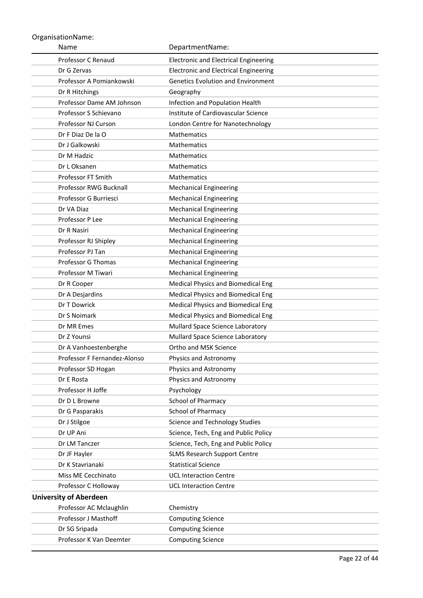| Name                                            | DepartmentName:                                      |
|-------------------------------------------------|------------------------------------------------------|
| Professor C Renaud                              | <b>Electronic and Electrical Engineering</b>         |
| Dr G Zervas                                     | <b>Electronic and Electrical Engineering</b>         |
| Professor A Pomiankowski                        | <b>Genetics Evolution and Environment</b>            |
| Dr R Hitchings                                  | Geography                                            |
| Professor Dame AM Johnson                       | Infection and Population Health                      |
| Professor S Schievano                           | Institute of Cardiovascular Science                  |
| Professor NJ Curson                             | London Centre for Nanotechnology                     |
| Dr F Diaz De la O                               | <b>Mathematics</b>                                   |
| Dr J Galkowski                                  | <b>Mathematics</b>                                   |
| Dr M Hadzic                                     | <b>Mathematics</b>                                   |
| Dr L Oksanen                                    | <b>Mathematics</b>                                   |
| <b>Professor FT Smith</b>                       | <b>Mathematics</b>                                   |
| Professor RWG Bucknall                          | <b>Mechanical Engineering</b>                        |
| Professor G Burriesci                           | <b>Mechanical Engineering</b>                        |
| Dr VA Diaz                                      | <b>Mechanical Engineering</b>                        |
| Professor P Lee                                 | <b>Mechanical Engineering</b>                        |
| Dr R Nasiri                                     | <b>Mechanical Engineering</b>                        |
| Professor RJ Shipley                            | <b>Mechanical Engineering</b>                        |
| Professor PJ Tan                                | <b>Mechanical Engineering</b>                        |
| Professor G Thomas                              | <b>Mechanical Engineering</b>                        |
| Professor M Tiwari                              | <b>Mechanical Engineering</b>                        |
| Dr R Cooper                                     | Medical Physics and Biomedical Eng                   |
| Dr A Desjardins                                 | Medical Physics and Biomedical Eng                   |
| Dr T Dowrick                                    | <b>Medical Physics and Biomedical Eng</b>            |
| Dr S Noimark                                    | Medical Physics and Biomedical Eng                   |
| Dr MR Emes                                      | Mullard Space Science Laboratory                     |
| Dr Z Younsi                                     | Mullard Space Science Laboratory                     |
| Dr A Vanhoestenberghe                           | Ortho and MSK Science                                |
| Professor F Fernandez-Alonso                    | Physics and Astronomy                                |
| Professor SD Hogan                              | Physics and Astronomy                                |
| Dr E Rosta                                      | Physics and Astronomy                                |
| Professor H Joffe                               | Psychology                                           |
| Dr D L Browne                                   | School of Pharmacy                                   |
| Dr G Pasparakis                                 | School of Pharmacy                                   |
| Dr J Stilgoe                                    | Science and Technology Studies                       |
| Dr UP Ani                                       | Science, Tech, Eng and Public Policy                 |
| Dr LM Tanczer                                   | Science, Tech, Eng and Public Policy                 |
| Dr JF Hayler                                    | <b>SLMS Research Support Centre</b>                  |
| Dr K Stavrianaki                                | <b>Statistical Science</b>                           |
| Miss ME Cecchinato                              | <b>UCL Interaction Centre</b>                        |
| Professor C Holloway                            | <b>UCL Interaction Centre</b>                        |
| <b>University of Aberdeen</b>                   |                                                      |
| Professor AC Mclaughlin<br>Professor J Masthoff | Chemistry                                            |
|                                                 | <b>Computing Science</b>                             |
| Dr SG Sripada<br>Professor K Van Deemter        | <b>Computing Science</b><br><b>Computing Science</b> |
|                                                 |                                                      |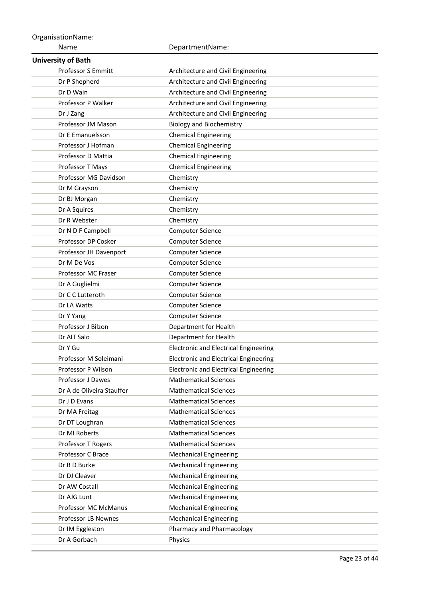Name OrganisationName: DepartmentName: **University of Bath** Professor S Emmitt **Architecture and Civil Engineering** Dr P Shepherd **Architecture and Civil Engineering** Dr D Wain **Architecture and Civil Engineering** Professor P Walker **Architecture and Civil Engineering** Dr J Zang **Architecture and Civil Engineering** Professor JM Mason Biology and Biochemistry Dr E Emanuelsson Chemical Engineering Professor J Hofman Chemical Engineering Professor D Mattia **Chemical Engineering** Professor T Mays **Chemical Engineering** Professor MG Davidson Chemistry Dr M Grayson Chemistry Dr BJ Morgan Chemistry Dr A Squires Chemistry Dr R Webster Chemistry Dr N D F Campbell Computer Science Professor DP Cosker Computer Science Professor JH Davenport Computer Science Dr M De Vos Computer Science Professor MC Fraser Computer Science Dr A Guglielmi Computer Science Dr C C Lutteroth Computer Science Dr LA Watts **Computer Science** Dr Y Yang Computer Science Professor J Bilzon Department for Health Dr AIT Salo **Department for Health** Dr Y Gu **Electronic and Electrical Engineering** Professor M Soleimani Electronic and Electrical Engineering Professor P Wilson **Electronic and Electrical Engineering** Professor J Dawes Mathematical Sciences Dr A de Oliveira Stauffer Mathematical Sciences Dr J D Evans **Mathematical Sciences** Dr MA Freitag Mathematical Sciences Dr DT Loughran Mathematical Sciences Dr MI Roberts Mathematical Sciences Professor T Rogers Mathematical Sciences Professor C Brace Mechanical Engineering Dr R D Burke Mechanical Engineering Dr DJ Cleaver Mechanical Engineering Dr AW Costall **Mechanical Engineering** Dr AJG Lunt Mechanical Engineering Professor MC McManus Mechanical Engineering Professor LB Newnes Mechanical Engineering Dr IM Eggleston **Pharmacy and Pharmacology** Dr A Gorbach Physics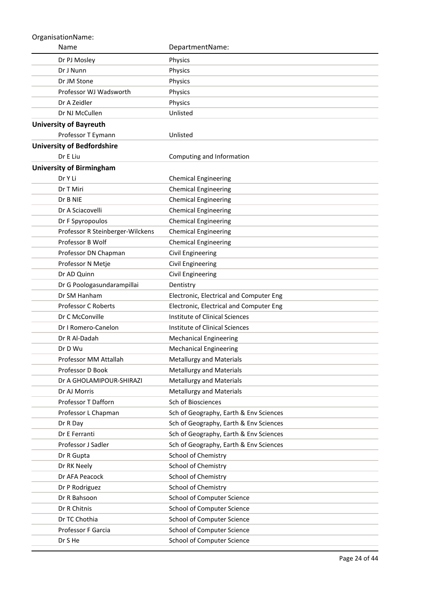| Name                              | DepartmentName:                         |
|-----------------------------------|-----------------------------------------|
| Dr PJ Mosley                      | Physics                                 |
| Dr J Nunn                         | Physics                                 |
| Dr JM Stone                       | Physics                                 |
| Professor WJ Wadsworth            | Physics                                 |
| Dr A Zeidler                      | Physics                                 |
| Dr NJ McCullen                    | Unlisted                                |
| <b>University of Bayreuth</b>     |                                         |
| Professor T Eymann                | Unlisted                                |
| <b>University of Bedfordshire</b> |                                         |
| Dr E Liu                          | Computing and Information               |
| <b>University of Birmingham</b>   |                                         |
| Dr Y Li                           | <b>Chemical Engineering</b>             |
| Dr T Miri                         | <b>Chemical Engineering</b>             |
| Dr B NIE                          | <b>Chemical Engineering</b>             |
| Dr A Sciacovelli                  | <b>Chemical Engineering</b>             |
| Dr F Spyropoulos                  | <b>Chemical Engineering</b>             |
| Professor R Steinberger-Wilckens  | <b>Chemical Engineering</b>             |
| Professor B Wolf                  | <b>Chemical Engineering</b>             |
| Professor DN Chapman              | Civil Engineering                       |
| Professor N Metje                 | Civil Engineering                       |
| Dr AD Quinn                       | Civil Engineering                       |
| Dr G Poologasundarampillai        | Dentistry                               |
| Dr SM Hanham                      | Electronic, Electrical and Computer Eng |
| Professor C Roberts               | Electronic, Electrical and Computer Eng |
| Dr C McConville                   | <b>Institute of Clinical Sciences</b>   |
| Dr I Romero-Canelon               | Institute of Clinical Sciences          |
| Dr R Al-Dadah                     | <b>Mechanical Engineering</b>           |
| Dr D Wu                           | <b>Mechanical Engineering</b>           |
| Professor MM Attallah             | <b>Metallurgy and Materials</b>         |
| Professor D Book                  | <b>Metallurgy and Materials</b>         |
| Dr A GHOLAMIPOUR-SHIRAZI          | <b>Metallurgy and Materials</b>         |
| Dr AJ Morris                      | <b>Metallurgy and Materials</b>         |
| Professor T Dafforn               | Sch of Biosciences                      |
| Professor L Chapman               | Sch of Geography, Earth & Env Sciences  |
| Dr R Day                          | Sch of Geography, Earth & Env Sciences  |
| Dr E Ferranti                     | Sch of Geography, Earth & Env Sciences  |
| Professor J Sadler                | Sch of Geography, Earth & Env Sciences  |
| Dr R Gupta                        | School of Chemistry                     |
| Dr RK Neely                       | School of Chemistry                     |
| Dr AFA Peacock                    | School of Chemistry                     |
| Dr P Rodriguez                    | School of Chemistry                     |
| Dr R Bahsoon                      | School of Computer Science              |
| Dr R Chitnis                      | School of Computer Science              |
| Dr TC Chothia                     | School of Computer Science              |
| Professor F Garcia                | School of Computer Science              |
| Dr S He                           | School of Computer Science              |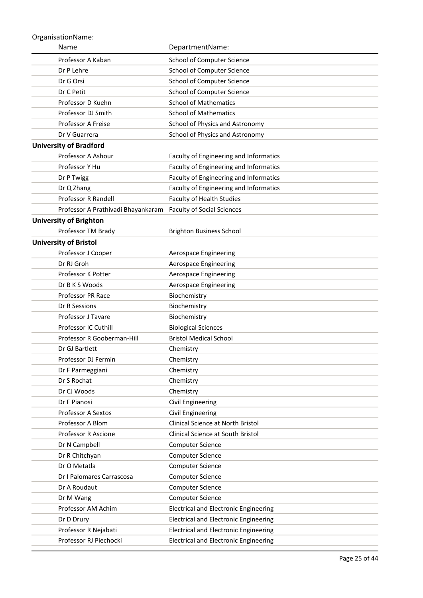| Name                               | DepartmentName:                              |
|------------------------------------|----------------------------------------------|
| Professor A Kaban                  | School of Computer Science                   |
| Dr P Lehre                         | School of Computer Science                   |
| Dr G Orsi                          | School of Computer Science                   |
| Dr C Petit                         | School of Computer Science                   |
| Professor D Kuehn                  | <b>School of Mathematics</b>                 |
| Professor DJ Smith                 | <b>School of Mathematics</b>                 |
| Professor A Freise                 | School of Physics and Astronomy              |
| Dr V Guarrera                      | School of Physics and Astronomy              |
| <b>University of Bradford</b>      |                                              |
| Professor A Ashour                 | Faculty of Engineering and Informatics       |
| Professor Y Hu                     | Faculty of Engineering and Informatics       |
| Dr P Twigg                         | Faculty of Engineering and Informatics       |
| Dr Q Zhang                         | Faculty of Engineering and Informatics       |
| Professor R Randell                | <b>Faculty of Health Studies</b>             |
| Professor A Prathivadi Bhayankaram | <b>Faculty of Social Sciences</b>            |
| <b>University of Brighton</b>      |                                              |
| Professor TM Brady                 | <b>Brighton Business School</b>              |
| <b>University of Bristol</b>       |                                              |
| Professor J Cooper                 | Aerospace Engineering                        |
| Dr RJ Groh                         | Aerospace Engineering                        |
| Professor K Potter                 | Aerospace Engineering                        |
| Dr B K S Woods                     | <b>Aerospace Engineering</b>                 |
| <b>Professor PR Race</b>           | Biochemistry                                 |
| Dr R Sessions                      | Biochemistry                                 |
| Professor J Tavare                 | Biochemistry                                 |
| Professor IC Cuthill               | <b>Biological Sciences</b>                   |
| Professor R Gooberman-Hill         | <b>Bristol Medical School</b>                |
| Dr GJ Bartlett                     | Chemistry                                    |
| Professor DJ Fermin                | Chemistry                                    |
| Dr F Parmeggiani                   | Chemistry                                    |
| Dr S Rochat                        | Chemistry                                    |
| Dr CJ Woods                        | Chemistry                                    |
| Dr F Pianosi                       | Civil Engineering                            |
| Professor A Sextos                 | Civil Engineering                            |
| Professor A Blom                   | Clinical Science at North Bristol            |
| Professor R Ascione                | Clinical Science at South Bristol            |
| Dr N Campbell                      | <b>Computer Science</b>                      |
| Dr R Chitchyan                     | <b>Computer Science</b>                      |
| Dr O Metatla                       | Computer Science                             |
| Dr I Palomares Carrascosa          | <b>Computer Science</b>                      |
| Dr A Roudaut                       | <b>Computer Science</b>                      |
| Dr M Wang                          | <b>Computer Science</b>                      |
| Professor AM Achim                 | <b>Electrical and Electronic Engineering</b> |
| Dr D Drury                         | <b>Electrical and Electronic Engineering</b> |
| Professor R Nejabati               | <b>Electrical and Electronic Engineering</b> |
| Professor RJ Piechocki             | <b>Electrical and Electronic Engineering</b> |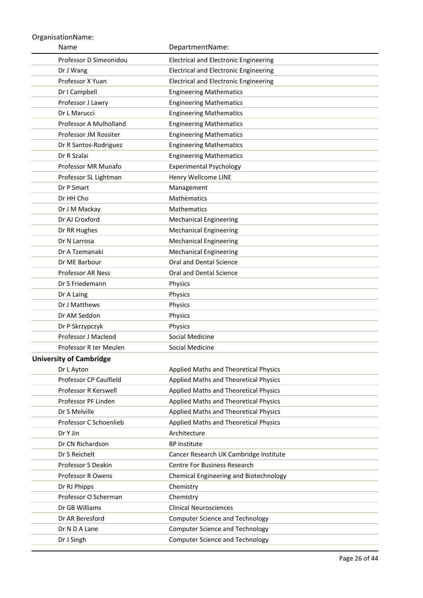| Name                           | DepartmentName:                              |
|--------------------------------|----------------------------------------------|
| Professor D Simeonidou         | <b>Electrical and Electronic Engineering</b> |
| Dr J Wang                      | <b>Electrical and Electronic Engineering</b> |
| Professor X Yuan               | <b>Electrical and Electronic Engineering</b> |
| Dr I Campbell                  | <b>Engineering Mathematics</b>               |
| Professor J Lawry              | <b>Engineering Mathematics</b>               |
| Dr L Marucci                   | <b>Engineering Mathematics</b>               |
| Professor A Mulholland         | <b>Engineering Mathematics</b>               |
| Professor JM Rossiter          | <b>Engineering Mathematics</b>               |
| Dr R Santos-Rodriguez          | <b>Engineering Mathematics</b>               |
| Dr R Szalai                    | <b>Engineering Mathematics</b>               |
| Professor MR Munafo            | <b>Experimental Psychology</b>               |
| Professor SL Lightman          | Henry Wellcome LINE                          |
| Dr P Smart                     | Management                                   |
| Dr HH Cho                      | <b>Mathematics</b>                           |
| Dr J M Mackay                  | Mathematics                                  |
| Dr AJ Croxford                 | <b>Mechanical Engineering</b>                |
| Dr RR Hughes                   | <b>Mechanical Engineering</b>                |
| Dr N Larrosa                   | <b>Mechanical Engineering</b>                |
| Dr A Tzemanaki                 | <b>Mechanical Engineering</b>                |
| Dr ME Barbour                  | Oral and Dental Science                      |
| <b>Professor AR Ness</b>       | Oral and Dental Science                      |
| Dr S Friedemann                | Physics                                      |
| Dr A Laing                     | Physics                                      |
| Dr J Matthews                  | Physics                                      |
| Dr AM Seddon                   | Physics                                      |
| Dr P Skrzypczyk                | Physics                                      |
| Professor J Macleod            | Social Medicine                              |
| Professor R ter Meulen         | Social Medicine                              |
| <b>University of Cambridge</b> |                                              |
| Dr L Ayton                     | Applied Maths and Theoretical Physics        |
| Professor CP Caulfield         | Applied Maths and Theoretical Physics        |
| Professor R Kerswell           | Applied Maths and Theoretical Physics        |
| Professor PF Linden            | Applied Maths and Theoretical Physics        |
| Dr S Melville                  | Applied Maths and Theoretical Physics        |
| Professor C Schoenlieb         | Applied Maths and Theoretical Physics        |
| Dr Y Jin                       | Architecture                                 |
| Dr CN Richardson               | <b>BP Institute</b>                          |
| Dr S Reichelt                  | Cancer Research UK Cambridge Institute       |
| Professor S Deakin             | Centre For Business Research                 |
| Professor R Owens              | Chemical Engineering and Biotechnology       |
| Dr RJ Phipps                   | Chemistry                                    |
| Professor O Scherman           | Chemistry                                    |
| Dr GB Williams                 | <b>Clinical Neurosciences</b>                |
| Dr AR Beresford                | <b>Computer Science and Technology</b>       |
| Dr N D A Lane                  | <b>Computer Science and Technology</b>       |
| Dr J Singh                     | <b>Computer Science and Technology</b>       |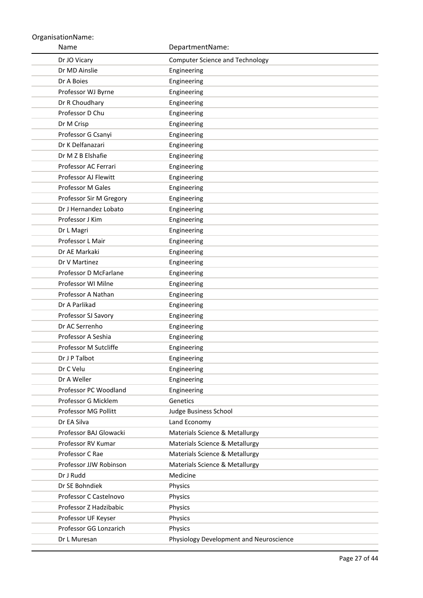Name OrganisationName: DepartmentName: Dr JO Vicary **Computer Science and Technology** Dr MD Ainslie **Engineering** Dr A Boies **Engineering** Professor WJ Byrne **Engineering** Dr R Choudhary **Engineering** Professor D Chu Engineering Dr M Crisp **Engineering** Professor G Csanyi **Engineering** Dr K Delfanazari **Engineering** Dr M Z B Elshafie Engineering Professor AC Ferrari Engineering Professor AJ Flewitt Engineering Professor M Gales **Engineering** Professor Sir M Gregory Engineering Dr J Hernandez Lobato Engineering Professor J Kim Engineering Dr L Magri **Engineering** Professor L Mair **Engineering** Dr AE Markaki **Engineering** Dr V Martinez **Engineering** Professor D McFarlane **Engineering** Professor WI Milne **Engineering** Professor A Nathan **Engineering** Dr A Parlikad **Engineering** Professor SJ Savory **Engineering** Dr AC Serrenho Engineering Professor A Seshia **Engineering** Professor M Sutcliffe Engineering Dr J P Talbot Engineering Dr C Velu **Engineering** Dr A Weller **Engineering** Professor PC Woodland Engineering Professor G Micklem Genetics Professor MG Pollitt Judge Business School Dr EA Silva Land Economy Professor BAJ Glowacki Materials Science & Metallurgy Professor RV Kumar Materials Science & Metallurgy Professor C Rae Materials Science & Metallurgy Professor JJW Robinson Materials Science & Metallurgy Dr J Rudd Medicine Dr SE Bohndiek Physics Professor C Castelnovo Physics Professor Z Hadzibabic Physics Professor UF Keyser Physics Professor GG Lonzarich Physics Dr L Muresan **Dr L Muresan** Physiology Development and Neuroscience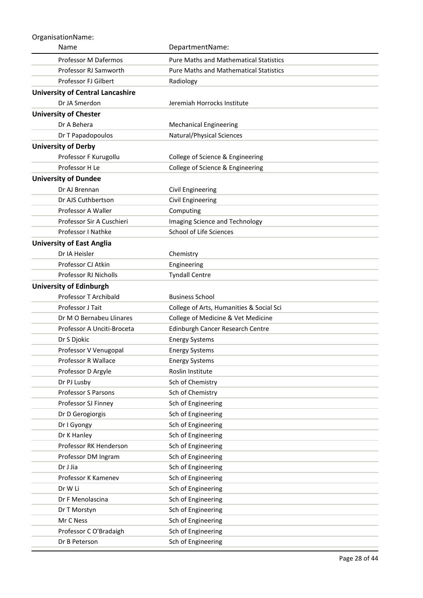| Name                                    | DepartmentName:                               |
|-----------------------------------------|-----------------------------------------------|
| Professor M Dafermos                    | <b>Pure Maths and Mathematical Statistics</b> |
| Professor RJ Samworth                   | <b>Pure Maths and Mathematical Statistics</b> |
| Professor FJ Gilbert                    | Radiology                                     |
| <b>University of Central Lancashire</b> |                                               |
| Dr JA Smerdon                           | Jeremiah Horrocks Institute                   |
| <b>University of Chester</b>            |                                               |
| Dr A Behera                             | <b>Mechanical Engineering</b>                 |
| Dr T Papadopoulos                       | Natural/Physical Sciences                     |
| <b>University of Derby</b>              |                                               |
| Professor F Kurugollu                   | College of Science & Engineering              |
| Professor H Le                          | College of Science & Engineering              |
| <b>University of Dundee</b>             |                                               |
| Dr AJ Brennan                           | Civil Engineering                             |
| Dr AJS Cuthbertson                      | Civil Engineering                             |
| Professor A Waller                      | Computing                                     |
| Professor Sir A Cuschieri               | Imaging Science and Technology                |
| Professor I Nathke                      | School of Life Sciences                       |
| <b>University of East Anglia</b>        |                                               |
| Dr IA Heisler                           | Chemistry                                     |
| Professor CJ Atkin                      | Engineering                                   |
| <b>Professor RJ Nicholls</b>            | <b>Tyndall Centre</b>                         |
| <b>University of Edinburgh</b>          |                                               |
| Professor T Archibald                   | <b>Business School</b>                        |
| Professor J Tait                        | College of Arts, Humanities & Social Sci      |
| Dr M O Bernabeu Llinares                | College of Medicine & Vet Medicine            |
| Professor A Unciti-Broceta              | Edinburgh Cancer Research Centre              |
| Dr S Djokic                             | <b>Energy Systems</b>                         |
| Professor V Venugopal                   | <b>Energy Systems</b>                         |
| Professor R Wallace                     | <b>Energy Systems</b>                         |
| Professor D Argyle                      | Roslin Institute                              |
| Dr PJ Lusby<br>Professor S Parsons      | Sch of Chemistry<br>Sch of Chemistry          |
| Professor SJ Finney                     | Sch of Engineering                            |
| Dr D Gerogiorgis                        | Sch of Engineering                            |
| Dr I Gyongy                             | Sch of Engineering                            |
| Dr K Hanley                             | Sch of Engineering                            |
| Professor RK Henderson                  | Sch of Engineering                            |
| Professor DM Ingram                     | Sch of Engineering                            |
| Dr J Jia                                | Sch of Engineering                            |
| Professor K Kamenev                     | Sch of Engineering                            |
| Dr W Li                                 | Sch of Engineering                            |
| Dr F Menolascina                        | Sch of Engineering                            |
| Dr T Morstyn                            | Sch of Engineering                            |
| Mr C Ness                               | Sch of Engineering                            |
| Professor C O'Bradaigh                  | Sch of Engineering                            |
| Dr B Peterson                           | Sch of Engineering                            |
|                                         |                                               |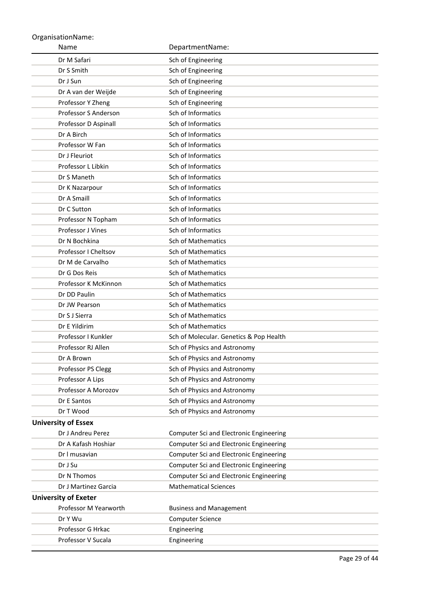| Name                        | DepartmentName:                         |
|-----------------------------|-----------------------------------------|
| Dr M Safari                 | Sch of Engineering                      |
| Dr S Smith                  | Sch of Engineering                      |
| Dr J Sun                    | Sch of Engineering                      |
| Dr A van der Weijde         | Sch of Engineering                      |
| Professor Y Zheng           | Sch of Engineering                      |
| Professor S Anderson        | Sch of Informatics                      |
| Professor D Aspinall        | Sch of Informatics                      |
| Dr A Birch                  | Sch of Informatics                      |
| Professor W Fan             | Sch of Informatics                      |
| Dr J Fleuriot               | Sch of Informatics                      |
| Professor L Libkin          | Sch of Informatics                      |
| Dr S Maneth                 | Sch of Informatics                      |
| Dr K Nazarpour              | Sch of Informatics                      |
| Dr A Smaill                 | Sch of Informatics                      |
| Dr C Sutton                 | Sch of Informatics                      |
| Professor N Topham          | Sch of Informatics                      |
| Professor J Vines           | Sch of Informatics                      |
| Dr N Bochkina               | <b>Sch of Mathematics</b>               |
| Professor I Cheltsov        | <b>Sch of Mathematics</b>               |
| Dr M de Carvalho            | <b>Sch of Mathematics</b>               |
| Dr G Dos Reis               | Sch of Mathematics                      |
| Professor K McKinnon        | Sch of Mathematics                      |
| Dr DD Paulin                | Sch of Mathematics                      |
| Dr JW Pearson               | Sch of Mathematics                      |
| Dr S J Sierra               | Sch of Mathematics                      |
| Dr E Yildirim               | Sch of Mathematics                      |
| Professor I Kunkler         | Sch of Molecular. Genetics & Pop Health |
| Professor RJ Allen          | Sch of Physics and Astronomy            |
| Dr A Brown                  | Sch of Physics and Astronomy            |
| Professor PS Clegg          | Sch of Physics and Astronomy            |
| Professor A Lips            | Sch of Physics and Astronomy            |
| Professor A Morozov         | Sch of Physics and Astronomy            |
| Dr E Santos                 | Sch of Physics and Astronomy            |
| Dr T Wood                   | Sch of Physics and Astronomy            |
| <b>University of Essex</b>  |                                         |
| Dr J Andreu Perez           | Computer Sci and Electronic Engineering |
| Dr A Kafash Hoshiar         | Computer Sci and Electronic Engineering |
| Dr I musavian               | Computer Sci and Electronic Engineering |
| Dr J Su                     | Computer Sci and Electronic Engineering |
| Dr N Thomos                 | Computer Sci and Electronic Engineering |
| Dr J Martinez Garcia        | <b>Mathematical Sciences</b>            |
| <b>University of Exeter</b> |                                         |
| Professor M Yearworth       | <b>Business and Management</b>          |
| Dr Y Wu                     | Computer Science                        |
| Professor G Hrkac           | Engineering                             |
| Professor V Sucala          | Engineering                             |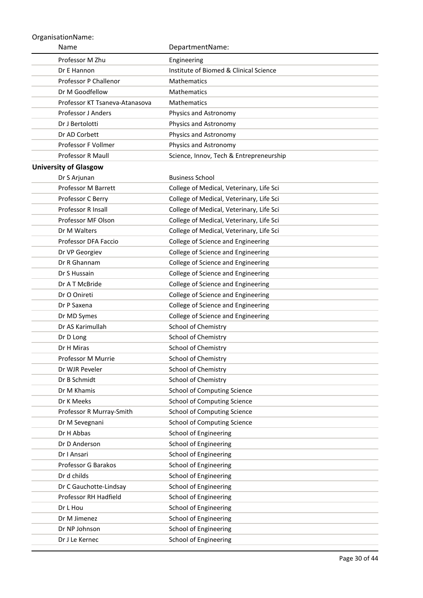| Name                                  | DepartmentName:                                       |
|---------------------------------------|-------------------------------------------------------|
| Professor M Zhu                       | Engineering                                           |
| Dr E Hannon                           | Institute of Biomed & Clinical Science                |
| <b>Professor P Challenor</b>          | <b>Mathematics</b>                                    |
| Dr M Goodfellow                       | Mathematics                                           |
| Professor KT Tsaneva-Atanasova        | <b>Mathematics</b>                                    |
| Professor J Anders                    | Physics and Astronomy                                 |
| Dr J Bertolotti                       | Physics and Astronomy                                 |
| Dr AD Corbett                         | Physics and Astronomy                                 |
| Professor F Vollmer                   | Physics and Astronomy                                 |
| Professor R Maull                     | Science, Innov, Tech & Entrepreneurship               |
| <b>University of Glasgow</b>          |                                                       |
| Dr S Arjunan                          | <b>Business School</b>                                |
| <b>Professor M Barrett</b>            | College of Medical, Veterinary, Life Sci              |
| Professor C Berry                     | College of Medical, Veterinary, Life Sci              |
| Professor R Insall                    | College of Medical, Veterinary, Life Sci              |
| Professor MF Olson                    | College of Medical, Veterinary, Life Sci              |
| Dr M Walters                          | College of Medical, Veterinary, Life Sci              |
| Professor DFA Faccio                  | College of Science and Engineering                    |
| Dr VP Georgiev                        | College of Science and Engineering                    |
| Dr R Ghannam                          | College of Science and Engineering                    |
| Dr S Hussain                          | College of Science and Engineering                    |
| Dr A T McBride                        | College of Science and Engineering                    |
| Dr O Onireti                          | College of Science and Engineering                    |
| Dr P Saxena                           | College of Science and Engineering                    |
| Dr MD Symes                           | College of Science and Engineering                    |
| Dr AS Karimullah                      | School of Chemistry                                   |
| Dr D Long                             | <b>School of Chemistry</b>                            |
| Dr H Miras                            | School of Chemistry                                   |
| Professor M Murrie                    | School of Chemistry                                   |
| Dr WJR Peveler                        | School of Chemistry                                   |
| Dr B Schmidt                          | <b>School of Chemistry</b>                            |
| Dr M Khamis                           | School of Computing Science                           |
| Dr K Meeks                            | <b>School of Computing Science</b>                    |
| Professor R Murray-Smith              | School of Computing Science                           |
| Dr M Sevegnani                        | School of Computing Science                           |
| Dr H Abbas                            | School of Engineering                                 |
| Dr D Anderson                         | School of Engineering                                 |
| Dr I Ansari                           | School of Engineering                                 |
| Professor G Barakos                   | School of Engineering                                 |
| Dr d childs<br>Dr C Gauchotte-Lindsay | School of Engineering                                 |
| Professor RH Hadfield                 | School of Engineering<br>School of Engineering        |
| Dr L Hou                              |                                                       |
| Dr M Jimenez                          | School of Engineering<br><b>School of Engineering</b> |
| Dr NP Johnson                         | School of Engineering                                 |
| Dr J Le Kernec                        | <b>School of Engineering</b>                          |
|                                       |                                                       |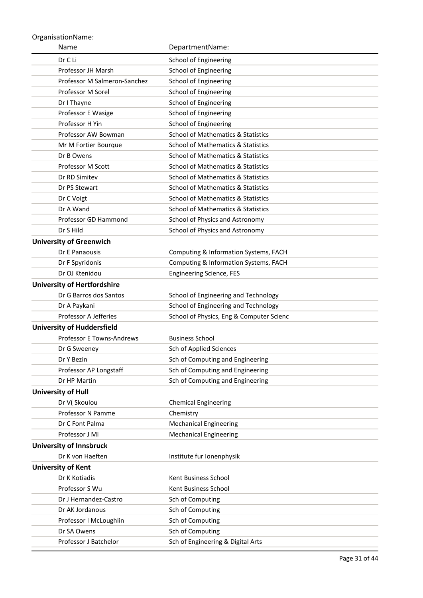| Name                               | DepartmentName:                               |
|------------------------------------|-----------------------------------------------|
| Dr C Li                            | School of Engineering                         |
| Professor JH Marsh                 | School of Engineering                         |
| Professor M Salmeron-Sanchez       | School of Engineering                         |
| Professor M Sorel                  | <b>School of Engineering</b>                  |
| Dr I Thayne                        | <b>School of Engineering</b>                  |
| Professor E Wasige                 | <b>School of Engineering</b>                  |
| Professor H Yin                    | School of Engineering                         |
| Professor AW Bowman                | <b>School of Mathematics &amp; Statistics</b> |
| Mr M Fortier Bourque               | <b>School of Mathematics &amp; Statistics</b> |
| Dr B Owens                         | <b>School of Mathematics &amp; Statistics</b> |
| Professor M Scott                  | <b>School of Mathematics &amp; Statistics</b> |
| Dr RD Simitev                      | <b>School of Mathematics &amp; Statistics</b> |
| Dr PS Stewart                      | <b>School of Mathematics &amp; Statistics</b> |
| Dr C Voigt                         | <b>School of Mathematics &amp; Statistics</b> |
| Dr A Wand                          | <b>School of Mathematics &amp; Statistics</b> |
| Professor GD Hammond               | School of Physics and Astronomy               |
| Dr S Hild                          | School of Physics and Astronomy               |
| <b>University of Greenwich</b>     |                                               |
| Dr E Panaousis                     | Computing & Information Systems, FACH         |
| Dr F Spyridonis                    | Computing & Information Systems, FACH         |
| Dr OJ Ktenidou                     | <b>Engineering Science, FES</b>               |
| <b>University of Hertfordshire</b> |                                               |
| Dr G Barros dos Santos             | School of Engineering and Technology          |
| Dr A Paykani                       | School of Engineering and Technology          |
| Professor A Jefferies              | School of Physics, Eng & Computer Scienc      |
| <b>University of Huddersfield</b>  |                                               |
| <b>Professor E Towns-Andrews</b>   | <b>Business School</b>                        |
| Dr G Sweeney                       | Sch of Applied Sciences                       |
| Dr Y Bezin                         | Sch of Computing and Engineering              |
| Professor AP Longstaff             | Sch of Computing and Engineering              |
| Dr HP Martin                       | Sch of Computing and Engineering              |
| <b>University of Hull</b>          |                                               |
| Dr V(Skoulou                       | <b>Chemical Engineering</b>                   |
| Professor N Pamme                  | Chemistry                                     |
| Dr C Font Palma                    | <b>Mechanical Engineering</b>                 |
| Professor J Mi                     | <b>Mechanical Engineering</b>                 |
| <b>University of Innsbruck</b>     |                                               |
| Dr K von Haeften                   | Institute fur Ionenphysik                     |
| <b>University of Kent</b>          |                                               |
| Dr K Kotiadis                      | Kent Business School                          |
| Professor S Wu                     | Kent Business School                          |
| Dr J Hernandez-Castro              | Sch of Computing                              |
| Dr AK Jordanous                    | Sch of Computing                              |
| Professor I McLoughlin             | Sch of Computing                              |
| Dr SA Owens                        | Sch of Computing                              |
| Professor J Batchelor              | Sch of Engineering & Digital Arts             |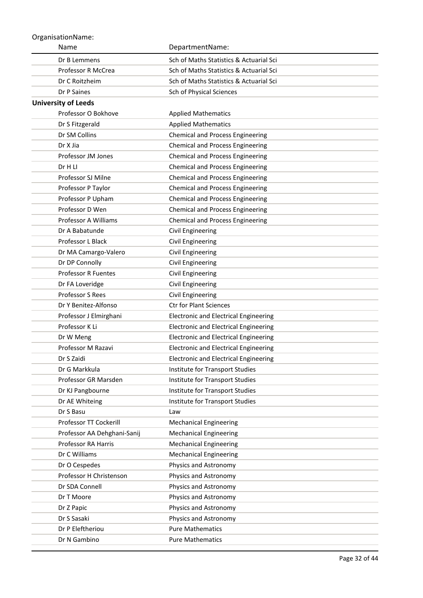| Name                        | DepartmentName:                              |
|-----------------------------|----------------------------------------------|
| Dr B Lemmens                | Sch of Maths Statistics & Actuarial Sci      |
| Professor R McCrea          | Sch of Maths Statistics & Actuarial Sci      |
| Dr C Roitzheim              | Sch of Maths Statistics & Actuarial Sci      |
| Dr P Saines                 | Sch of Physical Sciences                     |
| <b>University of Leeds</b>  |                                              |
| Professor O Bokhove         | <b>Applied Mathematics</b>                   |
| Dr S Fitzgerald             | <b>Applied Mathematics</b>                   |
| Dr SM Collins               | <b>Chemical and Process Engineering</b>      |
| Dr X Jia                    | <b>Chemical and Process Engineering</b>      |
| Professor JM Jones          | <b>Chemical and Process Engineering</b>      |
| Dr H LI                     | <b>Chemical and Process Engineering</b>      |
| Professor SJ Milne          | <b>Chemical and Process Engineering</b>      |
| Professor P Taylor          | <b>Chemical and Process Engineering</b>      |
| Professor P Upham           | <b>Chemical and Process Engineering</b>      |
| Professor D Wen             | <b>Chemical and Process Engineering</b>      |
| Professor A Williams        | <b>Chemical and Process Engineering</b>      |
| Dr A Babatunde              | Civil Engineering                            |
| Professor L Black           | Civil Engineering                            |
| Dr MA Camargo-Valero        | Civil Engineering                            |
| Dr DP Connolly              | Civil Engineering                            |
| Professor R Fuentes         | Civil Engineering                            |
| Dr FA Loveridge             | Civil Engineering                            |
| <b>Professor S Rees</b>     | Civil Engineering                            |
| Dr Y Benitez-Alfonso        | <b>Ctr for Plant Sciences</b>                |
| Professor J Elmirghani      | <b>Electronic and Electrical Engineering</b> |
| Professor K Li              | <b>Electronic and Electrical Engineering</b> |
| Dr W Meng                   | <b>Electronic and Electrical Engineering</b> |
| Professor M Razavi          | <b>Electronic and Electrical Engineering</b> |
| Dr S Zaidi                  | <b>Electronic and Electrical Engineering</b> |
| Dr G Markkula               | Institute for Transport Studies              |
| Professor GR Marsden        | Institute for Transport Studies              |
| Dr KJ Pangbourne            | Institute for Transport Studies              |
| Dr AE Whiteing              | Institute for Transport Studies              |
| Dr S Basu                   | Law                                          |
| Professor TT Cockerill      | <b>Mechanical Engineering</b>                |
| Professor AA Dehghani-Sanij | <b>Mechanical Engineering</b>                |
| Professor RA Harris         | <b>Mechanical Engineering</b>                |
| Dr C Williams               | <b>Mechanical Engineering</b>                |
| Dr O Cespedes               | Physics and Astronomy                        |
| Professor H Christenson     | Physics and Astronomy                        |
| Dr SDA Connell              | Physics and Astronomy                        |
| Dr T Moore                  | Physics and Astronomy                        |
| Dr Z Papic<br>Dr S Sasaki   | Physics and Astronomy                        |
|                             | Physics and Astronomy                        |
| Dr P Eleftheriou            | <b>Pure Mathematics</b>                      |
| Dr N Gambino                | <b>Pure Mathematics</b>                      |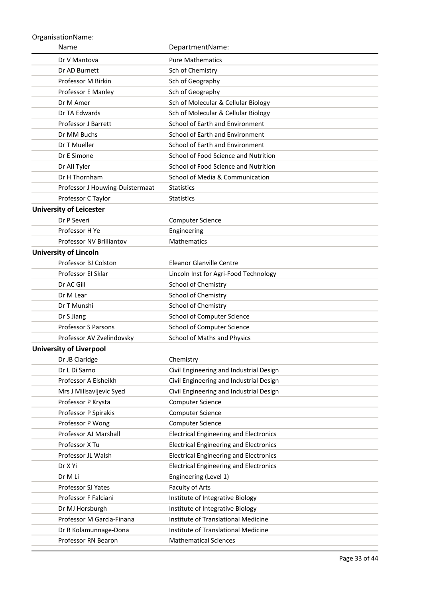| Name                            | DepartmentName:                               |
|---------------------------------|-----------------------------------------------|
| Dr V Mantova                    | <b>Pure Mathematics</b>                       |
| Dr AD Burnett                   | Sch of Chemistry                              |
| Professor M Birkin              | Sch of Geography                              |
| Professor E Manley              | Sch of Geography                              |
| Dr M Amer                       | Sch of Molecular & Cellular Biology           |
| Dr TA Edwards                   | Sch of Molecular & Cellular Biology           |
| <b>Professor J Barrett</b>      | School of Earth and Environment               |
| Dr MM Buchs                     | School of Earth and Environment               |
| Dr T Mueller                    | School of Earth and Environment               |
| Dr E Simone                     | School of Food Science and Nutrition          |
| Dr All Tyler                    | School of Food Science and Nutrition          |
| Dr H Thornham                   | School of Media & Communication               |
| Professor J Houwing-Duistermaat | <b>Statistics</b>                             |
| Professor C Taylor              | <b>Statistics</b>                             |
| <b>University of Leicester</b>  |                                               |
| Dr P Severi                     | <b>Computer Science</b>                       |
| Professor H Ye                  | Engineering                                   |
| Professor NV Brilliantov        | Mathematics                                   |
| <b>University of Lincoln</b>    |                                               |
| Professor BJ Colston            | <b>Eleanor Glanville Centre</b>               |
| Professor El Sklar              | Lincoln Inst for Agri-Food Technology         |
| Dr AC Gill                      | School of Chemistry                           |
| Dr M Lear                       | School of Chemistry                           |
| Dr T Munshi                     | School of Chemistry                           |
| Dr S Jiang                      | School of Computer Science                    |
| <b>Professor S Parsons</b>      | School of Computer Science                    |
| Professor AV Zvelindovsky       | School of Maths and Physics                   |
| <b>University of Liverpool</b>  |                                               |
| Dr JB Claridge                  | Chemistry                                     |
| Dr L Di Sarno                   | Civil Engineering and Industrial Design       |
| Professor A Elsheikh            | Civil Engineering and Industrial Design       |
| Mrs J Milisavljevic Syed        | Civil Engineering and Industrial Design       |
| Professor P Krysta              | <b>Computer Science</b>                       |
| Professor P Spirakis            | Computer Science                              |
| Professor P Wong                | Computer Science                              |
| Professor AJ Marshall           | <b>Electrical Engineering and Electronics</b> |
| Professor X Tu                  | <b>Electrical Engineering and Electronics</b> |
| Professor JL Walsh              | <b>Electrical Engineering and Electronics</b> |
| Dr X Yi                         | <b>Electrical Engineering and Electronics</b> |
| Dr M Li                         | Engineering (Level 1)                         |
| Professor SJ Yates              | Faculty of Arts                               |
| Professor F Falciani            | Institute of Integrative Biology              |
| Dr MJ Horsburgh                 | Institute of Integrative Biology              |
| Professor M Garcia-Finana       | Institute of Translational Medicine           |
| Dr R Kolamunnage-Dona           | Institute of Translational Medicine           |
| Professor RN Bearon             | <b>Mathematical Sciences</b>                  |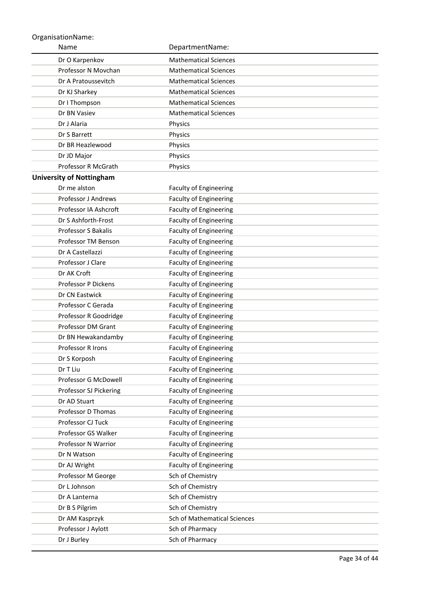| Name                            | DepartmentName:               |
|---------------------------------|-------------------------------|
| Dr O Karpenkov                  | <b>Mathematical Sciences</b>  |
| Professor N Movchan             | <b>Mathematical Sciences</b>  |
| Dr A Pratoussevitch             | <b>Mathematical Sciences</b>  |
| Dr KJ Sharkey                   | <b>Mathematical Sciences</b>  |
| Dr I Thompson                   | <b>Mathematical Sciences</b>  |
| Dr BN Vasiev                    | <b>Mathematical Sciences</b>  |
| Dr J Alaria                     | Physics                       |
| Dr S Barrett                    | Physics                       |
| Dr BR Heazlewood                | Physics                       |
| Dr JD Major                     | Physics                       |
| Professor R McGrath             | Physics                       |
| <b>University of Nottingham</b> |                               |
| Dr me alston                    | <b>Faculty of Engineering</b> |
| <b>Professor J Andrews</b>      | <b>Faculty of Engineering</b> |
| Professor IA Ashcroft           | <b>Faculty of Engineering</b> |
| Dr S Ashforth-Frost             | <b>Faculty of Engineering</b> |
| <b>Professor S Bakalis</b>      | <b>Faculty of Engineering</b> |
| Professor TM Benson             | <b>Faculty of Engineering</b> |
| Dr A Castellazzi                | <b>Faculty of Engineering</b> |
| Professor J Clare               | <b>Faculty of Engineering</b> |
| Dr AK Croft                     | <b>Faculty of Engineering</b> |
| <b>Professor P Dickens</b>      | <b>Faculty of Engineering</b> |
| Dr CN Eastwick                  | <b>Faculty of Engineering</b> |
| Professor C Gerada              | <b>Faculty of Engineering</b> |
| Professor R Goodridge           | <b>Faculty of Engineering</b> |
| Professor DM Grant              | Faculty of Engineering        |
| Dr BN Hewakandamby              | <b>Faculty of Engineering</b> |
| <b>Professor R Irons</b>        | Faculty of Engineering        |
| Dr S Korposh                    | <b>Faculty of Engineering</b> |
| Dr T Liu                        | <b>Faculty of Engineering</b> |
| Professor G McDowell            | <b>Faculty of Engineering</b> |
| Professor SJ Pickering          | <b>Faculty of Engineering</b> |
| Dr AD Stuart                    | <b>Faculty of Engineering</b> |
| Professor D Thomas              | <b>Faculty of Engineering</b> |
| Professor CJ Tuck               | <b>Faculty of Engineering</b> |
| Professor GS Walker             | <b>Faculty of Engineering</b> |
| Professor N Warrior             | Faculty of Engineering        |
| Dr N Watson                     | <b>Faculty of Engineering</b> |
| Dr AJ Wright                    | <b>Faculty of Engineering</b> |
| Professor M George              | Sch of Chemistry              |
| Dr L Johnson                    | Sch of Chemistry              |
| Dr A Lanterna                   | Sch of Chemistry              |
| Dr B S Pilgrim                  | Sch of Chemistry              |
| Dr AM Kasprzyk                  | Sch of Mathematical Sciences  |
| Professor J Aylott              | Sch of Pharmacy               |
| Dr J Burley                     | Sch of Pharmacy               |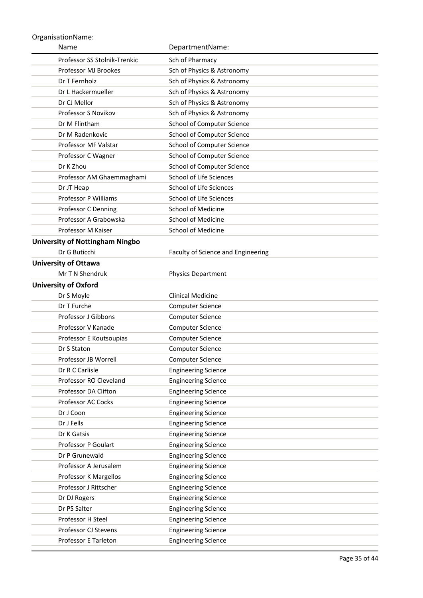| Name                                   | DepartmentName:                    |
|----------------------------------------|------------------------------------|
| Professor SS Stolnik-Trenkic           | Sch of Pharmacy                    |
| Professor MJ Brookes                   | Sch of Physics & Astronomy         |
| Dr T Fernholz                          | Sch of Physics & Astronomy         |
| Dr L Hackermueller                     | Sch of Physics & Astronomy         |
| Dr CJ Mellor                           | Sch of Physics & Astronomy         |
| Professor S Novikov                    | Sch of Physics & Astronomy         |
| Dr M Flintham                          | School of Computer Science         |
| Dr M Radenkovic                        | School of Computer Science         |
| Professor MF Valstar                   | School of Computer Science         |
| Professor C Wagner                     | School of Computer Science         |
| Dr K Zhou                              | School of Computer Science         |
| Professor AM Ghaemmaghami              | School of Life Sciences            |
| Dr JT Heap                             | School of Life Sciences            |
| <b>Professor P Williams</b>            | School of Life Sciences            |
| Professor C Denning                    | <b>School of Medicine</b>          |
| Professor A Grabowska                  | <b>School of Medicine</b>          |
| Professor M Kaiser                     | <b>School of Medicine</b>          |
| <b>University of Nottingham Ningbo</b> |                                    |
| Dr G Buticchi                          | Faculty of Science and Engineering |
| <b>University of Ottawa</b>            |                                    |
| Mr T N Shendruk                        | <b>Physics Department</b>          |
| <b>University of Oxford</b>            |                                    |
| Dr S Moyle                             | <b>Clinical Medicine</b>           |
| Dr T Furche                            | <b>Computer Science</b>            |
| <b>Professor J Gibbons</b>             | <b>Computer Science</b>            |
| Professor V Kanade                     | <b>Computer Science</b>            |
| Professor E Koutsoupias                | <b>Computer Science</b>            |
| Dr S Staton                            | <b>Computer Science</b>            |
| Professor JB Worrell                   | <b>Computer Science</b>            |
| Dr R C Carlisle                        | <b>Engineering Science</b>         |
| Professor RO Cleveland                 | <b>Engineering Science</b>         |
| Professor DA Clifton                   | <b>Engineering Science</b>         |
| Professor AC Cocks                     | <b>Engineering Science</b>         |
| Dr J Coon                              | <b>Engineering Science</b>         |
| Dr J Fells                             | <b>Engineering Science</b>         |
| Dr K Gatsis                            | <b>Engineering Science</b>         |
| Professor P Goulart                    | <b>Engineering Science</b>         |
| Dr P Grunewald                         | <b>Engineering Science</b>         |
| Professor A Jerusalem                  | <b>Engineering Science</b>         |
| Professor K Margellos                  | <b>Engineering Science</b>         |
| Professor J Rittscher                  | <b>Engineering Science</b>         |
| Dr DJ Rogers<br>Dr PS Salter           | <b>Engineering Science</b>         |
| Professor H Steel                      | <b>Engineering Science</b>         |
|                                        | <b>Engineering Science</b>         |
| Professor CJ Stevens                   | <b>Engineering Science</b>         |
| Professor E Tarleton                   | <b>Engineering Science</b>         |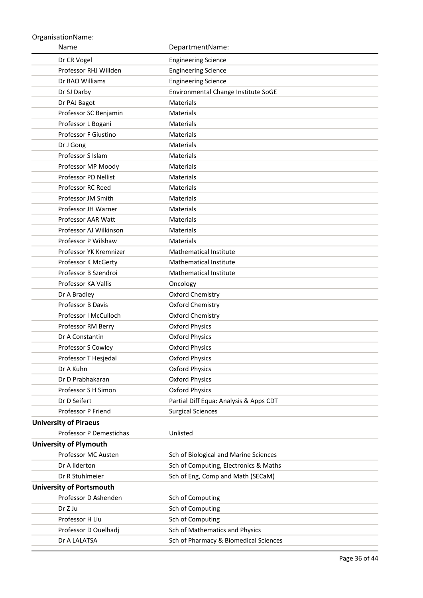| Name                            | DepartmentName:                        |
|---------------------------------|----------------------------------------|
| Dr CR Vogel                     | <b>Engineering Science</b>             |
| Professor RHJ Willden           | <b>Engineering Science</b>             |
| Dr BAO Williams                 | <b>Engineering Science</b>             |
| Dr SJ Darby                     | Environmental Change Institute SoGE    |
| Dr PAJ Bagot                    | Materials                              |
| Professor SC Benjamin           | Materials                              |
| Professor L Bogani              | Materials                              |
| Professor F Giustino            | Materials                              |
| Dr J Gong                       | Materials                              |
| Professor S Islam               | Materials                              |
| Professor MP Moody              | Materials                              |
| Professor PD Nellist            | Materials                              |
| Professor RC Reed               | Materials                              |
| Professor JM Smith              | Materials                              |
| Professor JH Warner             | Materials                              |
| Professor AAR Watt              | Materials                              |
| Professor AJ Wilkinson          | Materials                              |
| Professor P Wilshaw             | <b>Materials</b>                       |
| Professor YK Kremnizer          | Mathematical Institute                 |
| Professor K McGerty             | Mathematical Institute                 |
| Professor B Szendroi            | <b>Mathematical Institute</b>          |
| Professor KA Vallis             | Oncology                               |
| Dr A Bradley                    | Oxford Chemistry                       |
| <b>Professor B Davis</b>        | Oxford Chemistry                       |
| Professor I McCulloch           | Oxford Chemistry                       |
| Professor RM Berry              | <b>Oxford Physics</b>                  |
| Dr A Constantin                 | <b>Oxford Physics</b>                  |
| Professor S Cowley              | <b>Oxford Physics</b>                  |
| Professor T Hesjedal            | <b>Oxford Physics</b>                  |
| Dr A Kuhn                       | <b>Oxford Physics</b>                  |
| Dr D Prabhakaran                | <b>Oxford Physics</b>                  |
| Professor S H Simon             | <b>Oxford Physics</b>                  |
| Dr D Seifert                    | Partial Diff Equa: Analysis & Apps CDT |
| Professor P Friend              | <b>Surgical Sciences</b>               |
| <b>University of Piraeus</b>    |                                        |
| Professor P Demestichas         | Unlisted                               |
| <b>University of Plymouth</b>   |                                        |
| Professor MC Austen             | Sch of Biological and Marine Sciences  |
| Dr A Ilderton                   | Sch of Computing, Electronics & Maths  |
| Dr R Stuhlmeier                 | Sch of Eng, Comp and Math (SECaM)      |
| <b>University of Portsmouth</b> |                                        |
| Professor D Ashenden            | Sch of Computing                       |
| Dr Z Ju                         | Sch of Computing                       |
| Professor H Liu                 | Sch of Computing                       |
| Professor D Ouelhadj            | Sch of Mathematics and Physics         |
| Dr A LALATSA                    | Sch of Pharmacy & Biomedical Sciences  |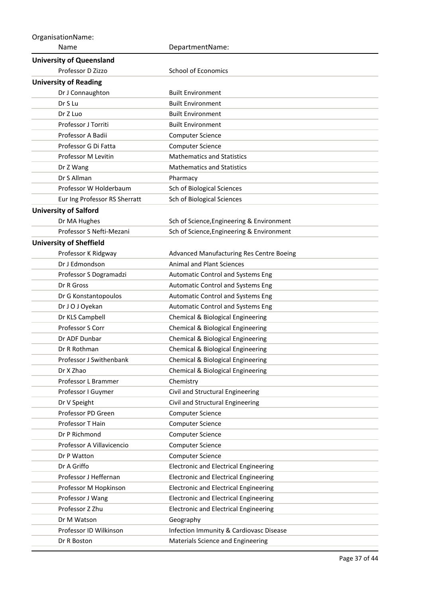| OrganisationName:               |                                              |  |
|---------------------------------|----------------------------------------------|--|
| Name                            | DepartmentName:                              |  |
| <b>University of Queensland</b> |                                              |  |
| Professor D Zizzo               | <b>School of Economics</b>                   |  |
| <b>University of Reading</b>    |                                              |  |
| Dr J Connaughton                | <b>Built Environment</b>                     |  |
| Dr S Lu                         | <b>Built Environment</b>                     |  |
| Dr Z Luo                        | <b>Built Environment</b>                     |  |
| Professor J Torriti             | <b>Built Environment</b>                     |  |
| Professor A Badii               | <b>Computer Science</b>                      |  |
| Professor G Di Fatta            | <b>Computer Science</b>                      |  |
| Professor M Levitin             | <b>Mathematics and Statistics</b>            |  |
| Dr Z Wang                       | <b>Mathematics and Statistics</b>            |  |
| Dr S Allman                     | Pharmacy                                     |  |
| Professor W Holderbaum          | Sch of Biological Sciences                   |  |
| Eur Ing Professor RS Sherratt   | Sch of Biological Sciences                   |  |
| <b>University of Salford</b>    |                                              |  |
| Dr MA Hughes                    | Sch of Science, Engineering & Environment    |  |
| Professor S Nefti-Mezani        | Sch of Science, Engineering & Environment    |  |
| <b>University of Sheffield</b>  |                                              |  |
| Professor K Ridgway             | Advanced Manufacturing Res Centre Boeing     |  |
| Dr J Edmondson                  | <b>Animal and Plant Sciences</b>             |  |
| Professor S Dogramadzi          | <b>Automatic Control and Systems Eng</b>     |  |
| Dr R Gross                      | Automatic Control and Systems Eng            |  |
| Dr G Konstantopoulos            | Automatic Control and Systems Eng            |  |
| Dr J O J Oyekan                 | Automatic Control and Systems Eng            |  |
| Dr KLS Campbell                 | Chemical & Biological Engineering            |  |
| Professor S Corr                | Chemical & Biological Engineering            |  |
| Dr ADF Dunbar                   | Chemical & Biological Engineering            |  |
| Dr R Rothman                    | Chemical & Biological Engineering            |  |
| Professor J Swithenbank         | Chemical & Biological Engineering            |  |
| Dr X Zhao                       | Chemical & Biological Engineering            |  |
| Professor L Brammer             | Chemistry                                    |  |
| Professor I Guymer              | Civil and Structural Engineering             |  |
| Dr V Speight                    | Civil and Structural Engineering             |  |
| Professor PD Green              | Computer Science                             |  |
| Professor T Hain                | <b>Computer Science</b>                      |  |
| Dr P Richmond                   | <b>Computer Science</b>                      |  |
| Professor A Villavicencio       | <b>Computer Science</b>                      |  |
| Dr P Watton                     | <b>Computer Science</b>                      |  |
| Dr A Griffo                     | <b>Electronic and Electrical Engineering</b> |  |
| Professor J Heffernan           | <b>Electronic and Electrical Engineering</b> |  |
| Professor M Hopkinson           | <b>Electronic and Electrical Engineering</b> |  |
| Professor J Wang                | <b>Electronic and Electrical Engineering</b> |  |
| Professor Z Zhu                 | <b>Electronic and Electrical Engineering</b> |  |
| Dr M Watson                     | Geography                                    |  |
| Professor ID Wilkinson          | Infection Immunity & Cardiovasc Disease      |  |
| Dr R Boston                     | Materials Science and Engineering            |  |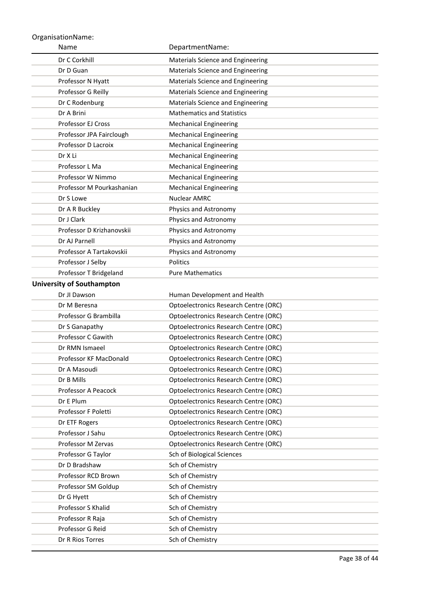| Name                             | DepartmentName:                              |
|----------------------------------|----------------------------------------------|
| Dr C Corkhill                    | Materials Science and Engineering            |
| Dr D Guan                        | Materials Science and Engineering            |
| Professor N Hyatt                | Materials Science and Engineering            |
| Professor G Reilly               | Materials Science and Engineering            |
| Dr C Rodenburg                   | Materials Science and Engineering            |
| Dr A Brini                       | <b>Mathematics and Statistics</b>            |
| Professor EJ Cross               | <b>Mechanical Engineering</b>                |
| Professor JPA Fairclough         | <b>Mechanical Engineering</b>                |
| Professor D Lacroix              | <b>Mechanical Engineering</b>                |
| Dr X Li                          | <b>Mechanical Engineering</b>                |
| Professor L Ma                   | <b>Mechanical Engineering</b>                |
| Professor W Nimmo                | <b>Mechanical Engineering</b>                |
| Professor M Pourkashanian        | <b>Mechanical Engineering</b>                |
| Dr S Lowe                        | <b>Nuclear AMRC</b>                          |
| Dr A R Buckley                   | Physics and Astronomy                        |
| Dr J Clark                       | Physics and Astronomy                        |
| Professor D Krizhanovskii        | Physics and Astronomy                        |
| Dr AJ Parnell                    | Physics and Astronomy                        |
| Professor A Tartakovskii         | Physics and Astronomy                        |
| Professor J Selby                | <b>Politics</b>                              |
| Professor T Bridgeland           | <b>Pure Mathematics</b>                      |
| <b>University of Southampton</b> |                                              |
| Dr JI Dawson                     | Human Development and Health                 |
| Dr M Beresna                     | Optoelectronics Research Centre (ORC)        |
| Professor G Brambilla            | Optoelectronics Research Centre (ORC)        |
| Dr S Ganapathy                   | Optoelectronics Research Centre (ORC)        |
| Professor C Gawith               | Optoelectronics Research Centre (ORC)        |
| Dr RMN Ismaeel                   | Optoelectronics Research Centre (ORC)        |
| Professor KF MacDonald           | <b>Optoelectronics Research Centre (ORC)</b> |
| Dr A Masoudi                     | Optoelectronics Research Centre (ORC)        |
| Dr B Mills                       | Optoelectronics Research Centre (ORC)        |
| Professor A Peacock              | Optoelectronics Research Centre (ORC)        |
| Dr E Plum                        | Optoelectronics Research Centre (ORC)        |
| Professor F Poletti              | Optoelectronics Research Centre (ORC)        |
| Dr ETF Rogers                    | Optoelectronics Research Centre (ORC)        |
| Professor J Sahu                 | Optoelectronics Research Centre (ORC)        |
| Professor M Zervas               | Optoelectronics Research Centre (ORC)        |
| Professor G Taylor               | Sch of Biological Sciences                   |
| Dr D Bradshaw                    | Sch of Chemistry                             |
| Professor RCD Brown              | Sch of Chemistry                             |
| Professor SM Goldup              | Sch of Chemistry                             |
| Dr G Hyett                       | Sch of Chemistry                             |
| Professor S Khalid               | Sch of Chemistry                             |
| Professor R Raja                 | Sch of Chemistry                             |
| Professor G Reid                 | Sch of Chemistry                             |
| Dr R Rios Torres                 | Sch of Chemistry                             |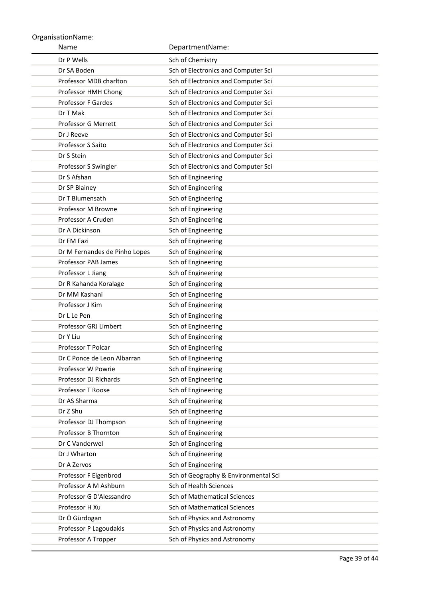| Name                                           | DepartmentName:                      |
|------------------------------------------------|--------------------------------------|
| Dr P Wells                                     | Sch of Chemistry                     |
| Dr SA Boden                                    | Sch of Electronics and Computer Sci  |
| Professor MDB charlton                         | Sch of Electronics and Computer Sci  |
| Professor HMH Chong                            | Sch of Electronics and Computer Sci  |
| Professor F Gardes                             | Sch of Electronics and Computer Sci  |
| Dr T Mak                                       | Sch of Electronics and Computer Sci  |
| Professor G Merrett                            | Sch of Electronics and Computer Sci  |
| Dr J Reeve                                     | Sch of Electronics and Computer Sci  |
| <b>Professor S Saito</b>                       | Sch of Electronics and Computer Sci  |
| Dr S Stein                                     | Sch of Electronics and Computer Sci  |
| Professor S Swingler                           | Sch of Electronics and Computer Sci  |
| Dr S Afshan                                    | Sch of Engineering                   |
| Dr SP Blainey                                  | Sch of Engineering                   |
| Dr T Blumensath                                | Sch of Engineering                   |
| Professor M Browne                             | Sch of Engineering                   |
| Professor A Cruden                             | Sch of Engineering                   |
| Dr A Dickinson                                 | Sch of Engineering                   |
| Dr FM Fazi                                     | Sch of Engineering                   |
| Dr M Fernandes de Pinho Lopes                  | Sch of Engineering                   |
| Professor PAB James                            | Sch of Engineering                   |
| Professor L Jiang                              | Sch of Engineering                   |
| Dr R Kahanda Koralage                          | Sch of Engineering                   |
| Dr MM Kashani                                  | Sch of Engineering                   |
| Professor J Kim                                | Sch of Engineering                   |
| Dr L Le Pen                                    | Sch of Engineering                   |
| Professor GRJ Limbert                          | Sch of Engineering                   |
| Dr Y Liu                                       | Sch of Engineering                   |
| <b>Professor T Polcar</b>                      | Sch of Engineering                   |
| Dr C Ponce de Leon Albarran                    | Sch of Engineering                   |
| Professor W Powrie                             | Sch of Engineering                   |
| Professor DJ Richards                          | Sch of Engineering                   |
| Professor T Roose                              | Sch of Engineering                   |
| Dr AS Sharma                                   | Sch of Engineering                   |
| Dr Z Shu                                       | Sch of Engineering                   |
| Professor DJ Thompson                          | Sch of Engineering                   |
| Professor B Thornton                           | Sch of Engineering                   |
| Dr C Vanderwel                                 | Sch of Engineering                   |
| Dr J Wharton                                   | Sch of Engineering                   |
| Dr A Zervos                                    | Sch of Engineering                   |
| Professor F Eigenbrod<br>Professor A M Ashburn | Sch of Geography & Environmental Sci |
| Professor G D'Alessandro                       | Sch of Health Sciences               |
| Professor H Xu                                 | Sch of Mathematical Sciences         |
|                                                | Sch of Mathematical Sciences         |
| Dr Ö Gürdogan                                  | Sch of Physics and Astronomy         |
| Professor P Lagoudakis                         | Sch of Physics and Astronomy         |
| Professor A Tropper                            | Sch of Physics and Astronomy         |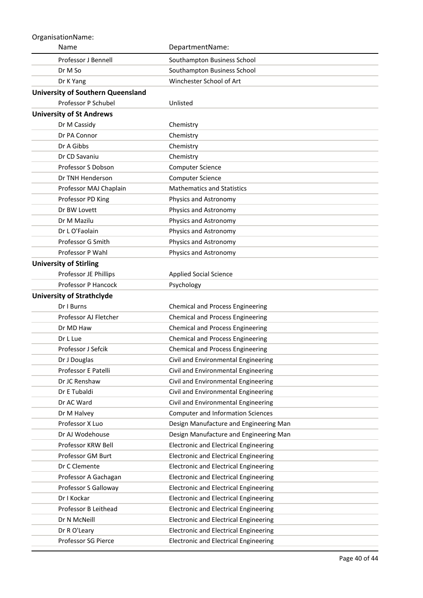| Name                                     | DepartmentName:                              |
|------------------------------------------|----------------------------------------------|
| <b>Professor J Bennell</b>               | Southampton Business School                  |
| Dr M So                                  | Southampton Business School                  |
| Dr K Yang                                | Winchester School of Art                     |
| <b>University of Southern Queensland</b> |                                              |
| Professor P Schubel                      | Unlisted                                     |
| <b>University of St Andrews</b>          |                                              |
| Dr M Cassidy                             | Chemistry                                    |
| Dr PA Connor                             | Chemistry                                    |
| Dr A Gibbs                               | Chemistry                                    |
| Dr CD Savaniu                            | Chemistry                                    |
| Professor S Dobson                       | <b>Computer Science</b>                      |
| Dr TNH Henderson                         | <b>Computer Science</b>                      |
| Professor MAJ Chaplain                   | <b>Mathematics and Statistics</b>            |
| Professor PD King                        | Physics and Astronomy                        |
| Dr BW Lovett                             | Physics and Astronomy                        |
| Dr M Mazilu                              | Physics and Astronomy                        |
| Dr L O'Faolain                           | Physics and Astronomy                        |
| Professor G Smith                        | Physics and Astronomy                        |
| Professor P Wahl                         | Physics and Astronomy                        |
| <b>University of Stirling</b>            |                                              |
| Professor JE Phillips                    | <b>Applied Social Science</b>                |
| Professor P Hancock                      | Psychology                                   |
| <b>University of Strathclyde</b>         |                                              |
| Dr I Burns                               | Chemical and Process Engineering             |
| Professor AJ Fletcher                    | <b>Chemical and Process Engineering</b>      |
| Dr MD Haw                                | Chemical and Process Engineering             |
| Dr L Lue                                 | Chemical and Process Engineering             |
| Professor J Sefcik                       | <b>Chemical and Process Engineering</b>      |
| Dr J Douglas                             | Civil and Environmental Engineering          |
| Professor E Patelli                      | Civil and Environmental Engineering          |
| Dr JC Renshaw                            | Civil and Environmental Engineering          |
| Dr E Tubaldi                             | Civil and Environmental Engineering          |
| Dr AC Ward                               | Civil and Environmental Engineering          |
| Dr M Halvey                              | <b>Computer and Information Sciences</b>     |
| Professor X Luo                          | Design Manufacture and Engineering Man       |
| Dr AJ Wodehouse                          | Design Manufacture and Engineering Man       |
| Professor KRW Bell                       | <b>Electronic and Electrical Engineering</b> |
| Professor GM Burt                        | <b>Electronic and Electrical Engineering</b> |
| Dr C Clemente                            | <b>Electronic and Electrical Engineering</b> |
| Professor A Gachagan                     | <b>Electronic and Electrical Engineering</b> |
| Professor S Galloway                     | <b>Electronic and Electrical Engineering</b> |
| Dr I Kockar                              | <b>Electronic and Electrical Engineering</b> |
| Professor B Leithead                     | <b>Electronic and Electrical Engineering</b> |
| Dr N McNeill                             | <b>Electronic and Electrical Engineering</b> |
| Dr R O'Leary                             | <b>Electronic and Electrical Engineering</b> |
| Professor SG Pierce                      | <b>Electronic and Electrical Engineering</b> |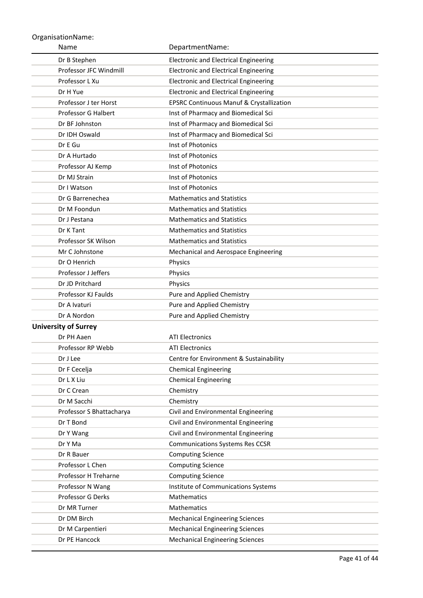| Name                        | DepartmentName:                                                    |
|-----------------------------|--------------------------------------------------------------------|
| Dr B Stephen                | <b>Electronic and Electrical Engineering</b>                       |
| Professor JFC Windmill      | <b>Electronic and Electrical Engineering</b>                       |
| Professor L Xu              | <b>Electronic and Electrical Engineering</b>                       |
| Dr H Yue                    | <b>Electronic and Electrical Engineering</b>                       |
| Professor J ter Horst       | <b>EPSRC Continuous Manuf &amp; Crystallization</b>                |
| Professor G Halbert         | Inst of Pharmacy and Biomedical Sci                                |
| Dr BF Johnston              | Inst of Pharmacy and Biomedical Sci                                |
| Dr IDH Oswald               | Inst of Pharmacy and Biomedical Sci                                |
| Dr E Gu                     | Inst of Photonics                                                  |
| Dr A Hurtado                | Inst of Photonics                                                  |
| Professor AJ Kemp           | Inst of Photonics                                                  |
| Dr MJ Strain                | Inst of Photonics                                                  |
| Dr I Watson                 | Inst of Photonics                                                  |
| Dr G Barrenechea            | <b>Mathematics and Statistics</b>                                  |
| Dr M Foondun                | <b>Mathematics and Statistics</b>                                  |
| Dr J Pestana                | <b>Mathematics and Statistics</b>                                  |
| Dr K Tant                   | <b>Mathematics and Statistics</b>                                  |
| Professor SK Wilson         | <b>Mathematics and Statistics</b>                                  |
| Mr C Johnstone              | Mechanical and Aerospace Engineering                               |
| Dr O Henrich                | Physics                                                            |
| <b>Professor J Jeffers</b>  | Physics                                                            |
| Dr JD Pritchard             | Physics                                                            |
| Professor KJ Faulds         | Pure and Applied Chemistry                                         |
| Dr A Ivaturi                | Pure and Applied Chemistry                                         |
| Dr A Nordon                 | Pure and Applied Chemistry                                         |
| <b>University of Surrey</b> |                                                                    |
| Dr PH Aaen                  | <b>ATI Electronics</b>                                             |
| Professor RP Webb           | <b>ATI Electronics</b>                                             |
| Dr J Lee                    | Centre for Environment & Sustainability                            |
| Dr F Cecelja                | <b>Chemical Engineering</b>                                        |
| Dr L X Liu                  | <b>Chemical Engineering</b>                                        |
| Dr C Crean                  | Chemistry                                                          |
| Dr M Sacchi                 | Chemistry                                                          |
| Professor S Bhattacharya    | Civil and Environmental Engineering                                |
| Dr T Bond                   | Civil and Environmental Engineering                                |
| Dr Y Wang<br>Dr Y Ma        | Civil and Environmental Engineering                                |
| Dr R Bauer                  | <b>Communications Systems Res CCSR</b><br><b>Computing Science</b> |
| Professor L Chen            | <b>Computing Science</b>                                           |
| Professor H Treharne        | <b>Computing Science</b>                                           |
| Professor N Wang            | Institute of Communications Systems                                |
| Professor G Derks           | Mathematics                                                        |
| Dr MR Turner                | Mathematics                                                        |
| Dr DM Birch                 | <b>Mechanical Engineering Sciences</b>                             |
| Dr M Carpentieri            | <b>Mechanical Engineering Sciences</b>                             |
| Dr PE Hancock               | <b>Mechanical Engineering Sciences</b>                             |
|                             |                                                                    |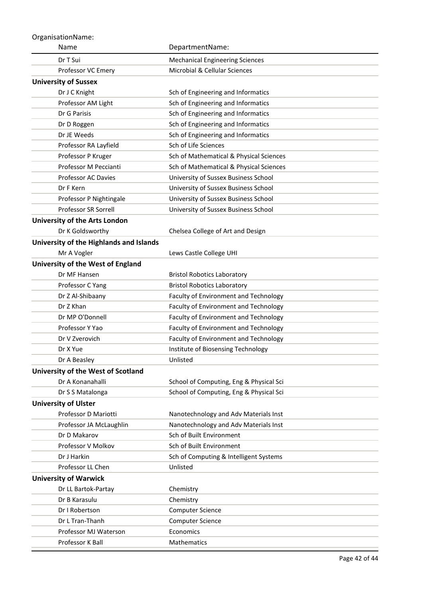| OrganisationName:                       |                                          |
|-----------------------------------------|------------------------------------------|
| Name                                    | DepartmentName:                          |
| Dr T Sui                                | <b>Mechanical Engineering Sciences</b>   |
| Professor VC Emery                      | <b>Microbial &amp; Cellular Sciences</b> |
| <b>University of Sussex</b>             |                                          |
| Dr J C Knight                           | Sch of Engineering and Informatics       |
| Professor AM Light                      | Sch of Engineering and Informatics       |
| Dr G Parisis                            | Sch of Engineering and Informatics       |
| Dr D Roggen                             | Sch of Engineering and Informatics       |
| Dr JE Weeds                             | Sch of Engineering and Informatics       |
| Professor RA Layfield                   | Sch of Life Sciences                     |
| Professor P Kruger                      | Sch of Mathematical & Physical Sciences  |
| Professor M Peccianti                   | Sch of Mathematical & Physical Sciences  |
| <b>Professor AC Davies</b>              | University of Sussex Business School     |
| Dr F Kern                               | University of Sussex Business School     |
| Professor P Nightingale                 | University of Sussex Business School     |
| <b>Professor SR Sorrell</b>             | University of Sussex Business School     |
| University of the Arts London           |                                          |
| Dr K Goldsworthy                        | Chelsea College of Art and Design        |
| University of the Highlands and Islands |                                          |
| Mr A Vogler                             | Lews Castle College UHI                  |
| University of the West of England       |                                          |
| Dr MF Hansen                            | <b>Bristol Robotics Laboratory</b>       |
| Professor C Yang                        | <b>Bristol Robotics Laboratory</b>       |
| Dr Z Al-Shibaany                        | Faculty of Environment and Technology    |
| Dr Z Khan                               | Faculty of Environment and Technology    |
| Dr MP O'Donnell                         | Faculty of Environment and Technology    |
| Professor Y Yao                         | Faculty of Environment and Technology    |
| Dr V Zverovich                          | Faculty of Environment and Technology    |
| Dr X Yue                                | Institute of Biosensing Technology       |
| Dr A Beasley                            | Unlisted                                 |
| University of the West of Scotland      |                                          |
| Dr A Konanahalli                        | School of Computing, Eng & Physical Sci  |
| Dr S S Matalonga                        | School of Computing, Eng & Physical Sci  |
| <b>University of Ulster</b>             |                                          |
| Professor D Mariotti                    | Nanotechnology and Adv Materials Inst    |
| Professor JA McLaughlin                 | Nanotechnology and Adv Materials Inst    |
| Dr D Makarov                            | Sch of Built Environment                 |
| Professor V Molkov                      | Sch of Built Environment                 |
| Dr J Harkin                             | Sch of Computing & Intelligent Systems   |
| Professor LL Chen                       | Unlisted                                 |
| <b>University of Warwick</b>            |                                          |
| Dr LL Bartok-Partay                     | Chemistry                                |
| Dr B Karasulu                           | Chemistry                                |
| Dr I Robertson                          | Computer Science                         |
| Dr L Tran-Thanh                         | <b>Computer Science</b>                  |
| Professor MJ Waterson                   | Economics                                |
| Professor K Ball                        | Mathematics                              |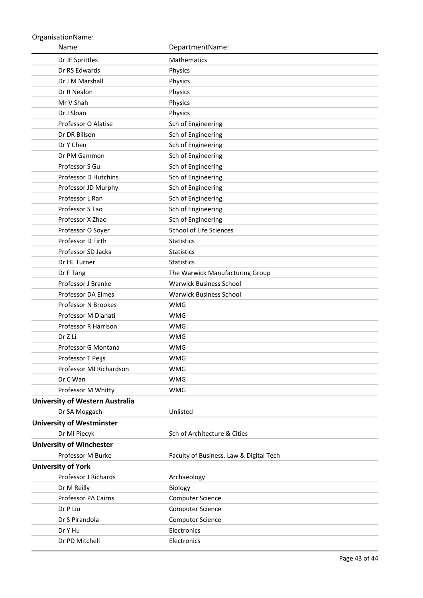Name OrganisationName: DepartmentName: Dr JE Sprittles Mathematics Dr RS Edwards Physics Dr J M Marshall Physics Dr R Nealon Physics Mr V Shah Physics Dr J Sloan Physics Professor O Alatise Sch of Engineering Dr DR Billson Sch of Engineering Dr Y Chen Sch of Engineering Dr PM Gammon Sch of Engineering Professor S Gu Sch of Engineering Professor D Hutchins Sch of Engineering Professor JD Murphy Sch of Engineering Professor L Ran Sch of Engineering Professor S Tao Sch of Engineering Professor X Zhao Sch of Engineering Professor O Soyer School of Life Sciences Professor D Firth Statistics Professor SD Jacka Statistics Dr HL Turner Statistics Dr F Tang The Warwick Manufacturing Group Professor J Branke Warwick Business School Professor DA Elmes Warwick Business School Professor N Brookes WMG Professor M Dianati WMG Professor R Harrison WMG Dr Z Li WMG Professor G Montana WMG Professor T Peijs WMG Professor MJ Richardson WMG Dr C Wan WMG Professor M Whitty **WMG University of Western Australia** Dr SA Moggach Unlisted **University of Westminster** Dr MI Piecyk Sch of Architecture & Cities **University of Winchester** Professor M Burke Faculty of Business, Law & Digital Tech **University of York** Professor J Richards **Archaeology** Dr M Reilly Biology Professor PA Cairns Computer Science Dr P Liu Computer Science Dr S Pirandola Computer Science Dr Y Hu Electronics Dr PD Mitchell Electronics